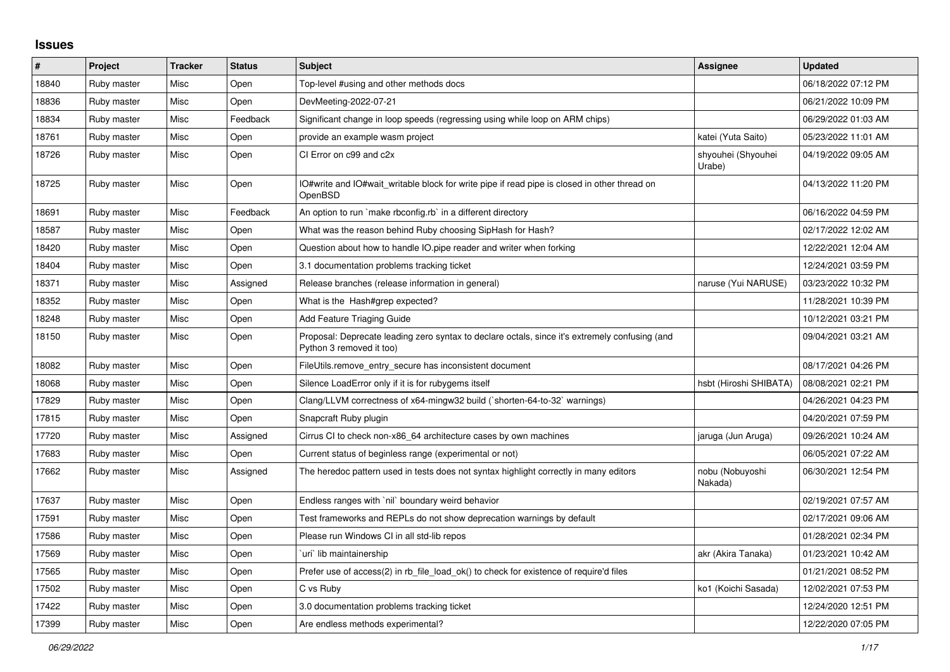## **Issues**

| #     | Project     | <b>Tracker</b> | <b>Status</b> | <b>Subject</b>                                                                                                             | Assignee                     | <b>Updated</b>      |
|-------|-------------|----------------|---------------|----------------------------------------------------------------------------------------------------------------------------|------------------------------|---------------------|
| 18840 | Ruby master | Misc           | Open          | Top-level #using and other methods docs                                                                                    |                              | 06/18/2022 07:12 PM |
| 18836 | Ruby master | Misc           | Open          | DevMeeting-2022-07-21                                                                                                      |                              | 06/21/2022 10:09 PM |
| 18834 | Ruby master | Misc           | Feedback      | Significant change in loop speeds (regressing using while loop on ARM chips)                                               |                              | 06/29/2022 01:03 AM |
| 18761 | Ruby master | Misc           | Open          | provide an example wasm project                                                                                            | katei (Yuta Saito)           | 05/23/2022 11:01 AM |
| 18726 | Ruby master | Misc           | Open          | CI Error on c99 and c2x                                                                                                    | shyouhei (Shyouhei<br>Urabe) | 04/19/2022 09:05 AM |
| 18725 | Ruby master | Misc           | Open          | IO#write and IO#wait_writable block for write pipe if read pipe is closed in other thread on<br>OpenBSD                    |                              | 04/13/2022 11:20 PM |
| 18691 | Ruby master | Misc           | Feedback      | An option to run `make rbconfig.rb` in a different directory                                                               |                              | 06/16/2022 04:59 PM |
| 18587 | Ruby master | Misc           | Open          | What was the reason behind Ruby choosing SipHash for Hash?                                                                 |                              | 02/17/2022 12:02 AM |
| 18420 | Ruby master | Misc           | Open          | Question about how to handle IO pipe reader and writer when forking                                                        |                              | 12/22/2021 12:04 AM |
| 18404 | Ruby master | Misc           | Open          | 3.1 documentation problems tracking ticket                                                                                 |                              | 12/24/2021 03:59 PM |
| 18371 | Ruby master | Misc           | Assigned      | Release branches (release information in general)                                                                          | naruse (Yui NARUSE)          | 03/23/2022 10:32 PM |
| 18352 | Ruby master | Misc           | Open          | What is the Hash#grep expected?                                                                                            |                              | 11/28/2021 10:39 PM |
| 18248 | Ruby master | Misc           | Open          | Add Feature Triaging Guide                                                                                                 |                              | 10/12/2021 03:21 PM |
| 18150 | Ruby master | Misc           | Open          | Proposal: Deprecate leading zero syntax to declare octals, since it's extremely confusing (and<br>Python 3 removed it too) |                              | 09/04/2021 03:21 AM |
| 18082 | Ruby master | Misc           | Open          | FileUtils.remove entry secure has inconsistent document                                                                    |                              | 08/17/2021 04:26 PM |
| 18068 | Ruby master | Misc           | Open          | Silence LoadError only if it is for rubygems itself                                                                        | hsbt (Hiroshi SHIBATA)       | 08/08/2021 02:21 PM |
| 17829 | Ruby master | Misc           | Open          | Clang/LLVM correctness of x64-mingw32 build (`shorten-64-to-32` warnings)                                                  |                              | 04/26/2021 04:23 PM |
| 17815 | Ruby master | Misc           | Open          | Snapcraft Ruby plugin                                                                                                      |                              | 04/20/2021 07:59 PM |
| 17720 | Ruby master | Misc           | Assigned      | Cirrus CI to check non-x86 64 architecture cases by own machines                                                           | jaruga (Jun Aruga)           | 09/26/2021 10:24 AM |
| 17683 | Ruby master | Misc           | Open          | Current status of beginless range (experimental or not)                                                                    |                              | 06/05/2021 07:22 AM |
| 17662 | Ruby master | Misc           | Assigned      | The heredoc pattern used in tests does not syntax highlight correctly in many editors                                      | nobu (Nobuyoshi<br>Nakada)   | 06/30/2021 12:54 PM |
| 17637 | Ruby master | Misc           | Open          | Endless ranges with `nil` boundary weird behavior                                                                          |                              | 02/19/2021 07:57 AM |
| 17591 | Ruby master | Misc           | Open          | Test frameworks and REPLs do not show deprecation warnings by default                                                      |                              | 02/17/2021 09:06 AM |
| 17586 | Ruby master | Misc           | Open          | Please run Windows CI in all std-lib repos                                                                                 |                              | 01/28/2021 02:34 PM |
| 17569 | Ruby master | Misc           | Open          | uri lib maintainership                                                                                                     | akr (Akira Tanaka)           | 01/23/2021 10:42 AM |
| 17565 | Ruby master | Misc           | Open          | Prefer use of access(2) in rb file load ok() to check for existence of require'd files                                     |                              | 01/21/2021 08:52 PM |
| 17502 | Ruby master | Misc           | Open          | C vs Ruby                                                                                                                  | ko1 (Koichi Sasada)          | 12/02/2021 07:53 PM |
| 17422 | Ruby master | Misc           | Open          | 3.0 documentation problems tracking ticket                                                                                 |                              | 12/24/2020 12:51 PM |
| 17399 | Ruby master | Misc           | Open          | Are endless methods experimental?                                                                                          |                              | 12/22/2020 07:05 PM |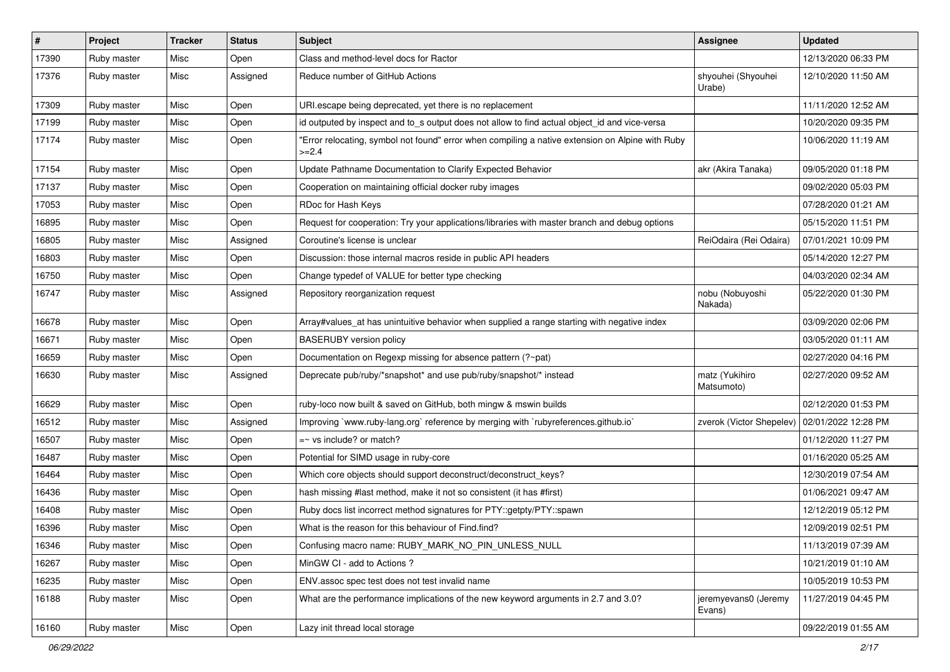| $\pmb{\#}$ | Project     | <b>Tracker</b> | <b>Status</b> | <b>Subject</b>                                                                                              | <b>Assignee</b>                | <b>Updated</b>      |
|------------|-------------|----------------|---------------|-------------------------------------------------------------------------------------------------------------|--------------------------------|---------------------|
| 17390      | Ruby master | Misc           | Open          | Class and method-level docs for Ractor                                                                      |                                | 12/13/2020 06:33 PM |
| 17376      | Ruby master | Misc           | Assigned      | Reduce number of GitHub Actions                                                                             | shyouhei (Shyouhei<br>Urabe)   | 12/10/2020 11:50 AM |
| 17309      | Ruby master | Misc           | Open          | URI escape being deprecated, yet there is no replacement                                                    |                                | 11/11/2020 12:52 AM |
| 17199      | Ruby master | Misc           | Open          | id outputed by inspect and to_s output does not allow to find actual object_id and vice-versa               |                                | 10/20/2020 09:35 PM |
| 17174      | Ruby master | Misc           | Open          | "Error relocating, symbol not found" error when compiling a native extension on Alpine with Ruby<br>$>=2.4$ |                                | 10/06/2020 11:19 AM |
| 17154      | Ruby master | Misc           | Open          | Update Pathname Documentation to Clarify Expected Behavior                                                  | akr (Akira Tanaka)             | 09/05/2020 01:18 PM |
| 17137      | Ruby master | Misc           | Open          | Cooperation on maintaining official docker ruby images                                                      |                                | 09/02/2020 05:03 PM |
| 17053      | Ruby master | Misc           | Open          | RDoc for Hash Keys                                                                                          |                                | 07/28/2020 01:21 AM |
| 16895      | Ruby master | Misc           | Open          | Request for cooperation: Try your applications/libraries with master branch and debug options               |                                | 05/15/2020 11:51 PM |
| 16805      | Ruby master | Misc           | Assigned      | Coroutine's license is unclear                                                                              | ReiOdaira (Rei Odaira)         | 07/01/2021 10:09 PM |
| 16803      | Ruby master | Misc           | Open          | Discussion: those internal macros reside in public API headers                                              |                                | 05/14/2020 12:27 PM |
| 16750      | Ruby master | Misc           | Open          | Change typedef of VALUE for better type checking                                                            |                                | 04/03/2020 02:34 AM |
| 16747      | Ruby master | Misc           | Assigned      | Repository reorganization request                                                                           | nobu (Nobuyoshi<br>Nakada)     | 05/22/2020 01:30 PM |
| 16678      | Ruby master | Misc           | Open          | Array#values_at has unintuitive behavior when supplied a range starting with negative index                 |                                | 03/09/2020 02:06 PM |
| 16671      | Ruby master | Misc           | Open          | <b>BASERUBY</b> version policy                                                                              |                                | 03/05/2020 01:11 AM |
| 16659      | Ruby master | Misc           | Open          | Documentation on Regexp missing for absence pattern (?~pat)                                                 |                                | 02/27/2020 04:16 PM |
| 16630      | Ruby master | Misc           | Assigned      | Deprecate pub/ruby/*snapshot* and use pub/ruby/snapshot/* instead                                           | matz (Yukihiro<br>Matsumoto)   | 02/27/2020 09:52 AM |
| 16629      | Ruby master | Misc           | Open          | ruby-loco now built & saved on GitHub, both mingw & mswin builds                                            |                                | 02/12/2020 01:53 PM |
| 16512      | Ruby master | Misc           | Assigned      | Improving `www.ruby-lang.org` reference by merging with `rubyreferences.github.io`                          | zverok (Victor Shepelev)       | 02/01/2022 12:28 PM |
| 16507      | Ruby master | Misc           | Open          | $=$ vs include? or match?                                                                                   |                                | 01/12/2020 11:27 PM |
| 16487      | Ruby master | Misc           | Open          | Potential for SIMD usage in ruby-core                                                                       |                                | 01/16/2020 05:25 AM |
| 16464      | Ruby master | Misc           | Open          | Which core objects should support deconstruct/deconstruct_keys?                                             |                                | 12/30/2019 07:54 AM |
| 16436      | Ruby master | Misc           | Open          | hash missing #last method, make it not so consistent (it has #first)                                        |                                | 01/06/2021 09:47 AM |
| 16408      | Ruby master | Misc           | Open          | Ruby docs list incorrect method signatures for PTY::getpty/PTY::spawn                                       |                                | 12/12/2019 05:12 PM |
| 16396      | Ruby master | Misc           | Open          | What is the reason for this behaviour of Find.find?                                                         |                                | 12/09/2019 02:51 PM |
| 16346      | Ruby master | Misc           | Open          | Confusing macro name: RUBY_MARK_NO_PIN_UNLESS_NULL                                                          |                                | 11/13/2019 07:39 AM |
| 16267      | Ruby master | Misc           | Open          | MinGW CI - add to Actions?                                                                                  |                                | 10/21/2019 01:10 AM |
| 16235      | Ruby master | Misc           | Open          | ENV.assoc spec test does not test invalid name                                                              |                                | 10/05/2019 10:53 PM |
| 16188      | Ruby master | Misc           | Open          | What are the performance implications of the new keyword arguments in 2.7 and 3.0?                          | jeremyevans0 (Jeremy<br>Evans) | 11/27/2019 04:45 PM |
| 16160      | Ruby master | Misc           | Open          | Lazy init thread local storage                                                                              |                                | 09/22/2019 01:55 AM |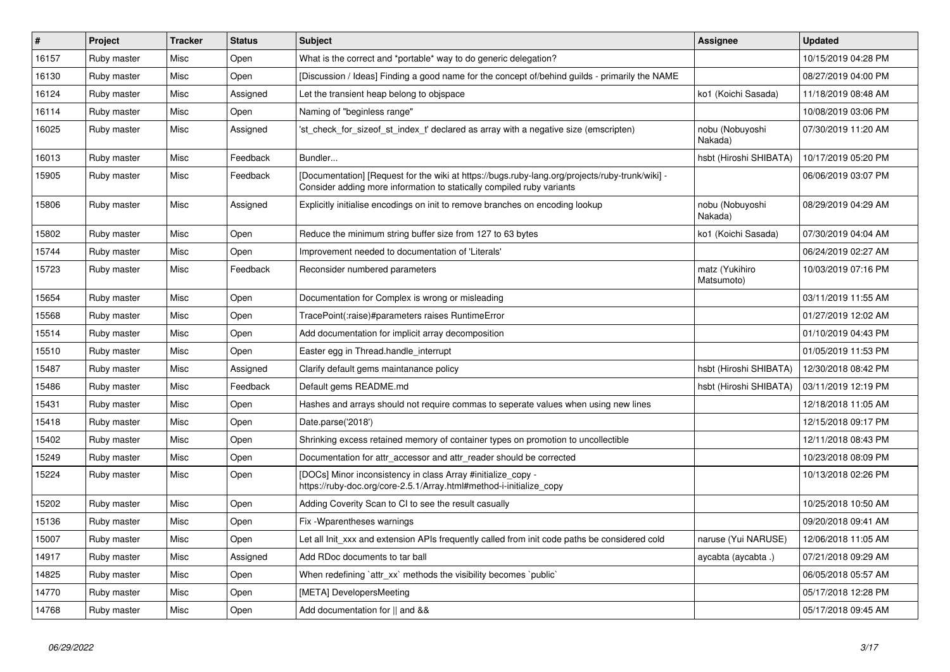| $\vert$ # | Project     | <b>Tracker</b> | <b>Status</b> | <b>Subject</b>                                                                                                                                                           | Assignee                     | <b>Updated</b>      |
|-----------|-------------|----------------|---------------|--------------------------------------------------------------------------------------------------------------------------------------------------------------------------|------------------------------|---------------------|
| 16157     | Ruby master | Misc           | Open          | What is the correct and *portable* way to do generic delegation?                                                                                                         |                              | 10/15/2019 04:28 PM |
| 16130     | Ruby master | Misc           | Open          | [Discussion / Ideas] Finding a good name for the concept of/behind guilds - primarily the NAME                                                                           |                              | 08/27/2019 04:00 PM |
| 16124     | Ruby master | Misc           | Assigned      | Let the transient heap belong to objspace                                                                                                                                | ko1 (Koichi Sasada)          | 11/18/2019 08:48 AM |
| 16114     | Ruby master | Misc           | Open          | Naming of "beginless range"                                                                                                                                              |                              | 10/08/2019 03:06 PM |
| 16025     | Ruby master | Misc           | Assigned      | 'st check for sizeof st index t' declared as array with a negative size (emscripten)                                                                                     | nobu (Nobuyoshi<br>Nakada)   | 07/30/2019 11:20 AM |
| 16013     | Ruby master | Misc           | Feedback      | Bundler                                                                                                                                                                  | hsbt (Hiroshi SHIBATA)       | 10/17/2019 05:20 PM |
| 15905     | Ruby master | Misc           | Feedback      | [Documentation] [Request for the wiki at https://bugs.ruby-lang.org/projects/ruby-trunk/wiki] -<br>Consider adding more information to statically compiled ruby variants |                              | 06/06/2019 03:07 PM |
| 15806     | Ruby master | Misc           | Assigned      | Explicitly initialise encodings on init to remove branches on encoding lookup                                                                                            | nobu (Nobuyoshi<br>Nakada)   | 08/29/2019 04:29 AM |
| 15802     | Ruby master | Misc           | Open          | Reduce the minimum string buffer size from 127 to 63 bytes                                                                                                               | ko1 (Koichi Sasada)          | 07/30/2019 04:04 AM |
| 15744     | Ruby master | Misc           | Open          | Improvement needed to documentation of 'Literals'                                                                                                                        |                              | 06/24/2019 02:27 AM |
| 15723     | Ruby master | Misc           | Feedback      | Reconsider numbered parameters                                                                                                                                           | matz (Yukihiro<br>Matsumoto) | 10/03/2019 07:16 PM |
| 15654     | Ruby master | Misc           | Open          | Documentation for Complex is wrong or misleading                                                                                                                         |                              | 03/11/2019 11:55 AM |
| 15568     | Ruby master | Misc           | Open          | TracePoint(:raise)#parameters raises RuntimeError                                                                                                                        |                              | 01/27/2019 12:02 AM |
| 15514     | Ruby master | Misc           | Open          | Add documentation for implicit array decomposition                                                                                                                       |                              | 01/10/2019 04:43 PM |
| 15510     | Ruby master | Misc           | Open          | Easter egg in Thread handle interrupt                                                                                                                                    |                              | 01/05/2019 11:53 PM |
| 15487     | Ruby master | Misc           | Assigned      | Clarify default gems maintanance policy                                                                                                                                  | hsbt (Hiroshi SHIBATA)       | 12/30/2018 08:42 PM |
| 15486     | Ruby master | Misc           | Feedback      | Default gems README.md                                                                                                                                                   | hsbt (Hiroshi SHIBATA)       | 03/11/2019 12:19 PM |
| 15431     | Ruby master | Misc           | Open          | Hashes and arrays should not require commas to seperate values when using new lines                                                                                      |                              | 12/18/2018 11:05 AM |
| 15418     | Ruby master | Misc           | Open          | Date.parse('2018')                                                                                                                                                       |                              | 12/15/2018 09:17 PM |
| 15402     | Ruby master | Misc           | Open          | Shrinking excess retained memory of container types on promotion to uncollectible                                                                                        |                              | 12/11/2018 08:43 PM |
| 15249     | Ruby master | Misc           | Open          | Documentation for attr accessor and attr reader should be corrected                                                                                                      |                              | 10/23/2018 08:09 PM |
| 15224     | Ruby master | Misc           | Open          | [DOCs] Minor inconsistency in class Array #initialize copy -<br>https://ruby-doc.org/core-2.5.1/Array.html#method-i-initialize_copy                                      |                              | 10/13/2018 02:26 PM |
| 15202     | Ruby master | Misc           | Open          | Adding Coverity Scan to CI to see the result casually                                                                                                                    |                              | 10/25/2018 10:50 AM |
| 15136     | Ruby master | Misc           | Open          | Fix - Wparentheses warnings                                                                                                                                              |                              | 09/20/2018 09:41 AM |
| 15007     | Ruby master | Misc           | Open          | Let all Init xxx and extension APIs frequently called from init code paths be considered cold                                                                            | naruse (Yui NARUSE)          | 12/06/2018 11:05 AM |
| 14917     | Ruby master | Misc           | Assigned      | Add RDoc documents to tar ball                                                                                                                                           | aycabta (aycabta.)           | 07/21/2018 09:29 AM |
| 14825     | Ruby master | Misc           | Open          | When redefining `attr_xx` methods the visibility becomes `public`                                                                                                        |                              | 06/05/2018 05:57 AM |
| 14770     | Ruby master | Misc           | Open          | [META] DevelopersMeeting                                                                                                                                                 |                              | 05/17/2018 12:28 PM |
| 14768     | Ruby master | Misc           | Open          | Add documentation for    and &&                                                                                                                                          |                              | 05/17/2018 09:45 AM |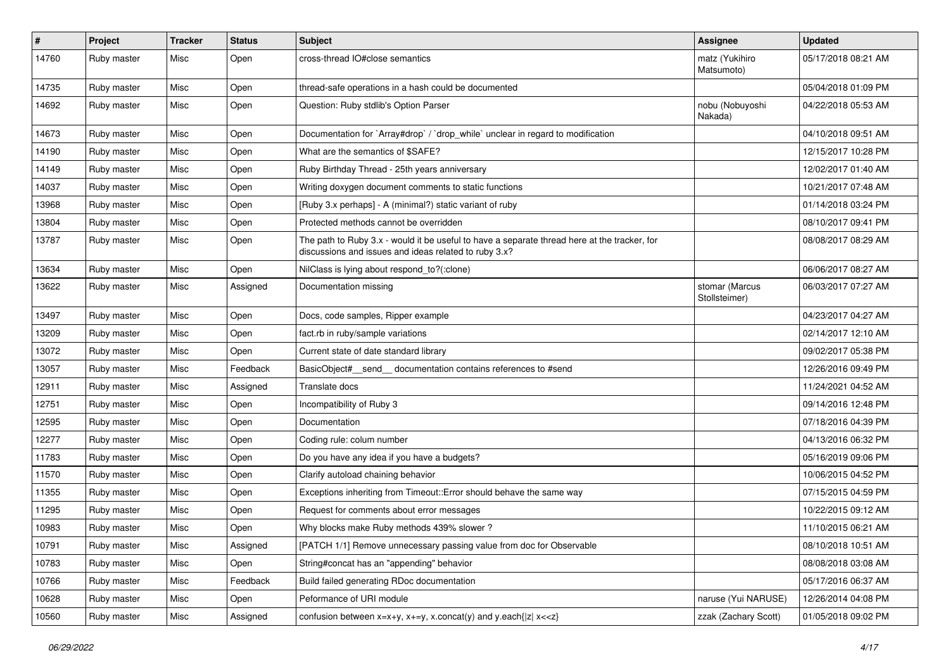| $\sharp$ | Project     | <b>Tracker</b> | <b>Status</b> | <b>Subject</b>                                                                                                                                        | Assignee                        | <b>Updated</b>      |
|----------|-------------|----------------|---------------|-------------------------------------------------------------------------------------------------------------------------------------------------------|---------------------------------|---------------------|
| 14760    | Ruby master | Misc           | Open          | cross-thread IO#close semantics                                                                                                                       | matz (Yukihiro<br>Matsumoto)    | 05/17/2018 08:21 AM |
| 14735    | Ruby master | Misc           | Open          | thread-safe operations in a hash could be documented                                                                                                  |                                 | 05/04/2018 01:09 PM |
| 14692    | Ruby master | Misc           | Open          | Question: Ruby stdlib's Option Parser                                                                                                                 | nobu (Nobuyoshi<br>Nakada)      | 04/22/2018 05:53 AM |
| 14673    | Ruby master | Misc           | Open          | Documentation for `Array#drop` / `drop_while` unclear in regard to modification                                                                       |                                 | 04/10/2018 09:51 AM |
| 14190    | Ruby master | Misc           | Open          | What are the semantics of \$SAFE?                                                                                                                     |                                 | 12/15/2017 10:28 PM |
| 14149    | Ruby master | Misc           | Open          | Ruby Birthday Thread - 25th years anniversary                                                                                                         |                                 | 12/02/2017 01:40 AM |
| 14037    | Ruby master | Misc           | Open          | Writing doxygen document comments to static functions                                                                                                 |                                 | 10/21/2017 07:48 AM |
| 13968    | Ruby master | Misc           | Open          | [Ruby 3.x perhaps] - A (minimal?) static variant of ruby                                                                                              |                                 | 01/14/2018 03:24 PM |
| 13804    | Ruby master | Misc           | Open          | Protected methods cannot be overridden                                                                                                                |                                 | 08/10/2017 09:41 PM |
| 13787    | Ruby master | Misc           | Open          | The path to Ruby 3.x - would it be useful to have a separate thread here at the tracker, for<br>discussions and issues and ideas related to ruby 3.x? |                                 | 08/08/2017 08:29 AM |
| 13634    | Ruby master | Misc           | Open          | NilClass is lying about respond_to?(:clone)                                                                                                           |                                 | 06/06/2017 08:27 AM |
| 13622    | Ruby master | Misc           | Assigned      | Documentation missing                                                                                                                                 | stomar (Marcus<br>Stollsteimer) | 06/03/2017 07:27 AM |
| 13497    | Ruby master | Misc           | Open          | Docs, code samples, Ripper example                                                                                                                    |                                 | 04/23/2017 04:27 AM |
| 13209    | Ruby master | Misc           | Open          | fact.rb in ruby/sample variations                                                                                                                     |                                 | 02/14/2017 12:10 AM |
| 13072    | Ruby master | Misc           | Open          | Current state of date standard library                                                                                                                |                                 | 09/02/2017 05:38 PM |
| 13057    | Ruby master | Misc           | Feedback      | BasicObject#_send_ documentation contains references to #send                                                                                         |                                 | 12/26/2016 09:49 PM |
| 12911    | Ruby master | Misc           | Assigned      | Translate docs                                                                                                                                        |                                 | 11/24/2021 04:52 AM |
| 12751    | Ruby master | Misc           | Open          | Incompatibility of Ruby 3                                                                                                                             |                                 | 09/14/2016 12:48 PM |
| 12595    | Ruby master | Misc           | Open          | Documentation                                                                                                                                         |                                 | 07/18/2016 04:39 PM |
| 12277    | Ruby master | Misc           | Open          | Coding rule: colum number                                                                                                                             |                                 | 04/13/2016 06:32 PM |
| 11783    | Ruby master | Misc           | Open          | Do you have any idea if you have a budgets?                                                                                                           |                                 | 05/16/2019 09:06 PM |
| 11570    | Ruby master | Misc           | Open          | Clarify autoload chaining behavior                                                                                                                    |                                 | 10/06/2015 04:52 PM |
| 11355    | Ruby master | Misc           | Open          | Exceptions inheriting from Timeout:: Error should behave the same way                                                                                 |                                 | 07/15/2015 04:59 PM |
| 11295    | Ruby master | Misc           | Open          | Request for comments about error messages                                                                                                             |                                 | 10/22/2015 09:12 AM |
| 10983    | Ruby master | Misc           | Open          | Why blocks make Ruby methods 439% slower?                                                                                                             |                                 | 11/10/2015 06:21 AM |
| 10791    | Ruby master | Misc           | Assigned      | [PATCH 1/1] Remove unnecessary passing value from doc for Observable                                                                                  |                                 | 08/10/2018 10:51 AM |
| 10783    | Ruby master | Misc           | Open          | String#concat has an "appending" behavior                                                                                                             |                                 | 08/08/2018 03:08 AM |
| 10766    | Ruby master | Misc           | Feedback      | Build failed generating RDoc documentation                                                                                                            |                                 | 05/17/2016 06:37 AM |
| 10628    | Ruby master | Misc           | Open          | Peformance of URI module                                                                                                                              | naruse (Yui NARUSE)             | 12/26/2014 04:08 PM |
| 10560    | Ruby master | Misc           | Assigned      | confusion between $x=x+y$ , $x+=y$ , $x$ .concat(y) and $y$ .each{ $ z $ $x<}$                                                                        | zzak (Zachary Scott)            | 01/05/2018 09:02 PM |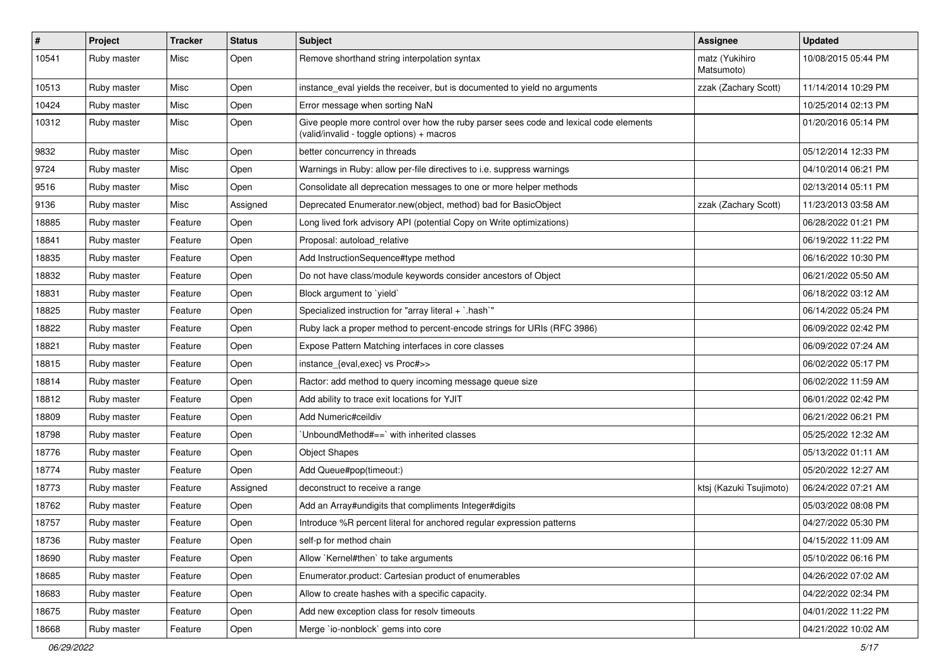| $\pmb{\#}$ | Project     | <b>Tracker</b> | <b>Status</b> | Subject                                                                                                                            | <b>Assignee</b>              | <b>Updated</b>      |
|------------|-------------|----------------|---------------|------------------------------------------------------------------------------------------------------------------------------------|------------------------------|---------------------|
| 10541      | Ruby master | Misc           | Open          | Remove shorthand string interpolation syntax                                                                                       | matz (Yukihiro<br>Matsumoto) | 10/08/2015 05:44 PM |
| 10513      | Ruby master | Misc           | Open          | instance_eval yields the receiver, but is documented to yield no arguments                                                         | zzak (Zachary Scott)         | 11/14/2014 10:29 PM |
| 10424      | Ruby master | Misc           | Open          | Error message when sorting NaN                                                                                                     |                              | 10/25/2014 02:13 PM |
| 10312      | Ruby master | Misc           | Open          | Give people more control over how the ruby parser sees code and lexical code elements<br>(valid/invalid - toggle options) + macros |                              | 01/20/2016 05:14 PM |
| 9832       | Ruby master | Misc           | Open          | better concurrency in threads                                                                                                      |                              | 05/12/2014 12:33 PM |
| 9724       | Ruby master | Misc           | Open          | Warnings in Ruby: allow per-file directives to i.e. suppress warnings                                                              |                              | 04/10/2014 06:21 PM |
| 9516       | Ruby master | Misc           | Open          | Consolidate all deprecation messages to one or more helper methods                                                                 |                              | 02/13/2014 05:11 PM |
| 9136       | Ruby master | Misc           | Assigned      | Deprecated Enumerator.new(object, method) bad for BasicObject                                                                      | zzak (Zachary Scott)         | 11/23/2013 03:58 AM |
| 18885      | Ruby master | Feature        | Open          | Long lived fork advisory API (potential Copy on Write optimizations)                                                               |                              | 06/28/2022 01:21 PM |
| 18841      | Ruby master | Feature        | Open          | Proposal: autoload relative                                                                                                        |                              | 06/19/2022 11:22 PM |
| 18835      | Ruby master | Feature        | Open          | Add InstructionSequence#type method                                                                                                |                              | 06/16/2022 10:30 PM |
| 18832      | Ruby master | Feature        | Open          | Do not have class/module keywords consider ancestors of Object                                                                     |                              | 06/21/2022 05:50 AM |
| 18831      | Ruby master | Feature        | Open          | Block argument to `yield`                                                                                                          |                              | 06/18/2022 03:12 AM |
| 18825      | Ruby master | Feature        | Open          | Specialized instruction for "array literal + `.hash`"                                                                              |                              | 06/14/2022 05:24 PM |
| 18822      | Ruby master | Feature        | Open          | Ruby lack a proper method to percent-encode strings for URIs (RFC 3986)                                                            |                              | 06/09/2022 02:42 PM |
| 18821      | Ruby master | Feature        | Open          | Expose Pattern Matching interfaces in core classes                                                                                 |                              | 06/09/2022 07:24 AM |
| 18815      | Ruby master | Feature        | Open          | instance {eval, exec} vs Proc#>>                                                                                                   |                              | 06/02/2022 05:17 PM |
| 18814      | Ruby master | Feature        | Open          | Ractor: add method to query incoming message queue size                                                                            |                              | 06/02/2022 11:59 AM |
| 18812      | Ruby master | Feature        | Open          | Add ability to trace exit locations for YJIT                                                                                       |                              | 06/01/2022 02:42 PM |
| 18809      | Ruby master | Feature        | Open          | Add Numeric#ceildiv                                                                                                                |                              | 06/21/2022 06:21 PM |
| 18798      | Ruby master | Feature        | Open          | 'UnboundMethod#==' with inherited classes                                                                                          |                              | 05/25/2022 12:32 AM |
| 18776      | Ruby master | Feature        | Open          | <b>Object Shapes</b>                                                                                                               |                              | 05/13/2022 01:11 AM |
| 18774      | Ruby master | Feature        | Open          | Add Queue#pop(timeout:)                                                                                                            |                              | 05/20/2022 12:27 AM |
| 18773      | Ruby master | Feature        | Assigned      | deconstruct to receive a range                                                                                                     | ktsj (Kazuki Tsujimoto)      | 06/24/2022 07:21 AM |
| 18762      | Ruby master | Feature        | Open          | Add an Array#undigits that compliments Integer#digits                                                                              |                              | 05/03/2022 08:08 PM |
| 18757      | Ruby master | Feature        | Open          | Introduce %R percent literal for anchored regular expression patterns                                                              |                              | 04/27/2022 05:30 PM |
| 18736      | Ruby master | Feature        | Open          | self-p for method chain                                                                                                            |                              | 04/15/2022 11:09 AM |
| 18690      | Ruby master | Feature        | Open          | Allow `Kernel#then` to take arguments                                                                                              |                              | 05/10/2022 06:16 PM |
| 18685      | Ruby master | Feature        | Open          | Enumerator.product: Cartesian product of enumerables                                                                               |                              | 04/26/2022 07:02 AM |
| 18683      | Ruby master | Feature        | Open          | Allow to create hashes with a specific capacity.                                                                                   |                              | 04/22/2022 02:34 PM |
| 18675      | Ruby master | Feature        | Open          | Add new exception class for resolv timeouts                                                                                        |                              | 04/01/2022 11:22 PM |
| 18668      | Ruby master | Feature        | Open          | Merge `io-nonblock` gems into core                                                                                                 |                              | 04/21/2022 10:02 AM |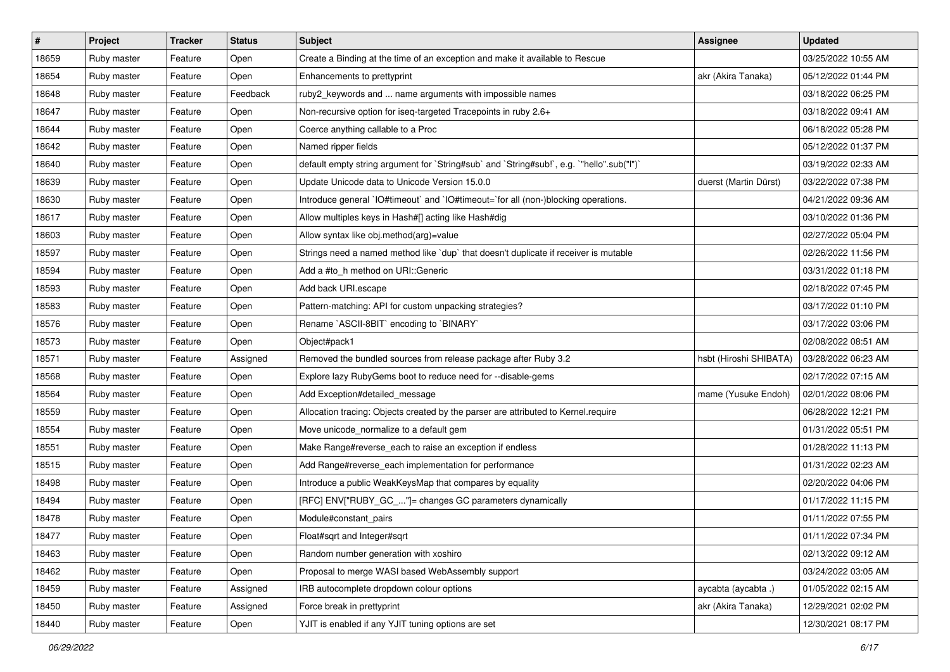| $\vert$ # | Project     | <b>Tracker</b> | <b>Status</b> | Subject                                                                                   | Assignee               | <b>Updated</b>      |
|-----------|-------------|----------------|---------------|-------------------------------------------------------------------------------------------|------------------------|---------------------|
| 18659     | Ruby master | Feature        | Open          | Create a Binding at the time of an exception and make it available to Rescue              |                        | 03/25/2022 10:55 AM |
| 18654     | Ruby master | Feature        | Open          | Enhancements to prettyprint                                                               | akr (Akira Tanaka)     | 05/12/2022 01:44 PM |
| 18648     | Ruby master | Feature        | Feedback      | ruby2_keywords and  name arguments with impossible names                                  |                        | 03/18/2022 06:25 PM |
| 18647     | Ruby master | Feature        | Open          | Non-recursive option for iseq-targeted Tracepoints in ruby 2.6+                           |                        | 03/18/2022 09:41 AM |
| 18644     | Ruby master | Feature        | Open          | Coerce anything callable to a Proc                                                        |                        | 06/18/2022 05:28 PM |
| 18642     | Ruby master | Feature        | Open          | Named ripper fields                                                                       |                        | 05/12/2022 01:37 PM |
| 18640     | Ruby master | Feature        | Open          | default empty string argument for `String#sub` and `String#sub!`, e.g. `"hello".sub("I")` |                        | 03/19/2022 02:33 AM |
| 18639     | Ruby master | Feature        | Open          | Update Unicode data to Unicode Version 15.0.0                                             | duerst (Martin Dürst)  | 03/22/2022 07:38 PM |
| 18630     | Ruby master | Feature        | Open          | Introduce general `IO#timeout` and `IO#timeout=`for all (non-)blocking operations.        |                        | 04/21/2022 09:36 AM |
| 18617     | Ruby master | Feature        | Open          | Allow multiples keys in Hash#[] acting like Hash#dig                                      |                        | 03/10/2022 01:36 PM |
| 18603     | Ruby master | Feature        | Open          | Allow syntax like obj.method(arg)=value                                                   |                        | 02/27/2022 05:04 PM |
| 18597     | Ruby master | Feature        | Open          | Strings need a named method like `dup` that doesn't duplicate if receiver is mutable      |                        | 02/26/2022 11:56 PM |
| 18594     | Ruby master | Feature        | Open          | Add a #to_h method on URI::Generic                                                        |                        | 03/31/2022 01:18 PM |
| 18593     | Ruby master | Feature        | Open          | Add back URI.escape                                                                       |                        | 02/18/2022 07:45 PM |
| 18583     | Ruby master | Feature        | Open          | Pattern-matching: API for custom unpacking strategies?                                    |                        | 03/17/2022 01:10 PM |
| 18576     | Ruby master | Feature        | Open          | Rename `ASCII-8BIT` encoding to `BINARY`                                                  |                        | 03/17/2022 03:06 PM |
| 18573     | Ruby master | Feature        | Open          | Object#pack1                                                                              |                        | 02/08/2022 08:51 AM |
| 18571     | Ruby master | Feature        | Assigned      | Removed the bundled sources from release package after Ruby 3.2                           | hsbt (Hiroshi SHIBATA) | 03/28/2022 06:23 AM |
| 18568     | Ruby master | Feature        | Open          | Explore lazy RubyGems boot to reduce need for --disable-gems                              |                        | 02/17/2022 07:15 AM |
| 18564     | Ruby master | Feature        | Open          | Add Exception#detailed_message                                                            | mame (Yusuke Endoh)    | 02/01/2022 08:06 PM |
| 18559     | Ruby master | Feature        | Open          | Allocation tracing: Objects created by the parser are attributed to Kernel.require        |                        | 06/28/2022 12:21 PM |
| 18554     | Ruby master | Feature        | Open          | Move unicode_normalize to a default gem                                                   |                        | 01/31/2022 05:51 PM |
| 18551     | Ruby master | Feature        | Open          | Make Range#reverse_each to raise an exception if endless                                  |                        | 01/28/2022 11:13 PM |
| 18515     | Ruby master | Feature        | Open          | Add Range#reverse_each implementation for performance                                     |                        | 01/31/2022 02:23 AM |
| 18498     | Ruby master | Feature        | Open          | Introduce a public WeakKeysMap that compares by equality                                  |                        | 02/20/2022 04:06 PM |
| 18494     | Ruby master | Feature        | Open          | [RFC] ENV["RUBY_GC_"]= changes GC parameters dynamically                                  |                        | 01/17/2022 11:15 PM |
| 18478     | Ruby master | Feature        | Open          | Module#constant pairs                                                                     |                        | 01/11/2022 07:55 PM |
| 18477     | Ruby master | Feature        | Open          | Float#sqrt and Integer#sqrt                                                               |                        | 01/11/2022 07:34 PM |
| 18463     | Ruby master | Feature        | Open          | Random number generation with xoshiro                                                     |                        | 02/13/2022 09:12 AM |
| 18462     | Ruby master | Feature        | Open          | Proposal to merge WASI based WebAssembly support                                          |                        | 03/24/2022 03:05 AM |
| 18459     | Ruby master | Feature        | Assigned      | IRB autocomplete dropdown colour options                                                  | aycabta (aycabta.)     | 01/05/2022 02:15 AM |
| 18450     | Ruby master | Feature        | Assigned      | Force break in prettyprint                                                                | akr (Akira Tanaka)     | 12/29/2021 02:02 PM |
| 18440     | Ruby master | Feature        | Open          | YJIT is enabled if any YJIT tuning options are set                                        |                        | 12/30/2021 08:17 PM |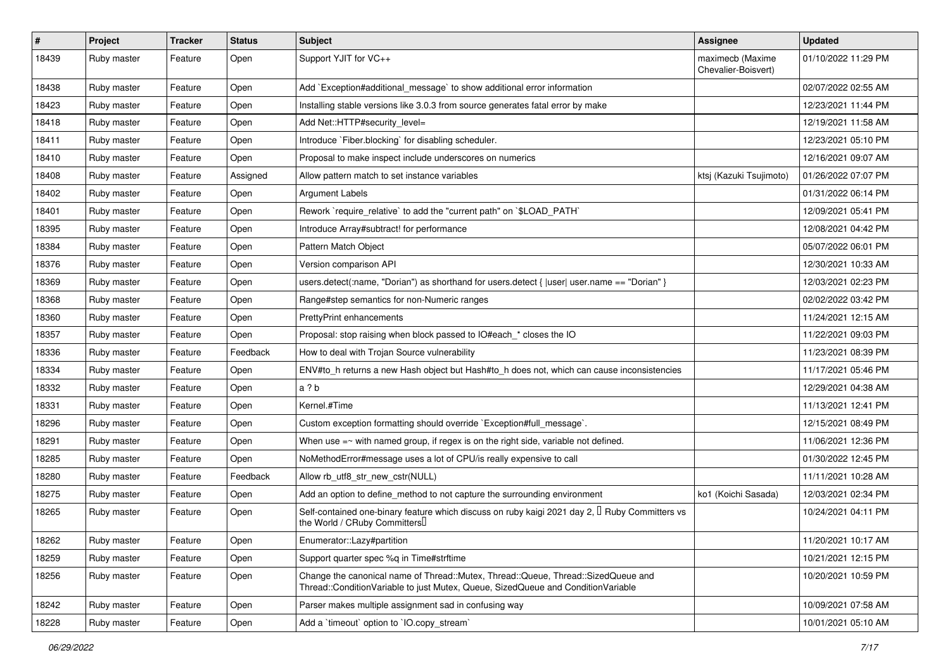| $\vert$ # | Project     | <b>Tracker</b> | <b>Status</b> | Subject                                                                                                                                                               | <b>Assignee</b>                         | <b>Updated</b>      |
|-----------|-------------|----------------|---------------|-----------------------------------------------------------------------------------------------------------------------------------------------------------------------|-----------------------------------------|---------------------|
| 18439     | Ruby master | Feature        | Open          | Support YJIT for VC++                                                                                                                                                 | maximecb (Maxime<br>Chevalier-Boisvert) | 01/10/2022 11:29 PM |
| 18438     | Ruby master | Feature        | Open          | Add `Exception#additional_message` to show additional error information                                                                                               |                                         | 02/07/2022 02:55 AM |
| 18423     | Ruby master | Feature        | Open          | Installing stable versions like 3.0.3 from source generates fatal error by make                                                                                       |                                         | 12/23/2021 11:44 PM |
| 18418     | Ruby master | Feature        | Open          | Add Net::HTTP#security_level=                                                                                                                                         |                                         | 12/19/2021 11:58 AM |
| 18411     | Ruby master | Feature        | Open          | Introduce `Fiber.blocking` for disabling scheduler.                                                                                                                   |                                         | 12/23/2021 05:10 PM |
| 18410     | Ruby master | Feature        | Open          | Proposal to make inspect include underscores on numerics                                                                                                              |                                         | 12/16/2021 09:07 AM |
| 18408     | Ruby master | Feature        | Assigned      | Allow pattern match to set instance variables                                                                                                                         | ktsj (Kazuki Tsujimoto)                 | 01/26/2022 07:07 PM |
| 18402     | Ruby master | Feature        | Open          | Argument Labels                                                                                                                                                       |                                         | 01/31/2022 06:14 PM |
| 18401     | Ruby master | Feature        | Open          | Rework `require_relative` to add the "current path" on `\$LOAD_PATH`                                                                                                  |                                         | 12/09/2021 05:41 PM |
| 18395     | Ruby master | Feature        | Open          | Introduce Array#subtract! for performance                                                                                                                             |                                         | 12/08/2021 04:42 PM |
| 18384     | Ruby master | Feature        | Open          | Pattern Match Object                                                                                                                                                  |                                         | 05/07/2022 06:01 PM |
| 18376     | Ruby master | Feature        | Open          | Version comparison API                                                                                                                                                |                                         | 12/30/2021 10:33 AM |
| 18369     | Ruby master | Feature        | Open          | users.detect(:name, "Dorian") as shorthand for users.detect {  user  user.name == "Dorian" }                                                                          |                                         | 12/03/2021 02:23 PM |
| 18368     | Ruby master | Feature        | Open          | Range#step semantics for non-Numeric ranges                                                                                                                           |                                         | 02/02/2022 03:42 PM |
| 18360     | Ruby master | Feature        | Open          | <b>PrettyPrint enhancements</b>                                                                                                                                       |                                         | 11/24/2021 12:15 AM |
| 18357     | Ruby master | Feature        | Open          | Proposal: stop raising when block passed to IO#each * closes the IO                                                                                                   |                                         | 11/22/2021 09:03 PM |
| 18336     | Ruby master | Feature        | Feedback      | How to deal with Trojan Source vulnerability                                                                                                                          |                                         | 11/23/2021 08:39 PM |
| 18334     | Ruby master | Feature        | Open          | ENV#to_h returns a new Hash object but Hash#to_h does not, which can cause inconsistencies                                                                            |                                         | 11/17/2021 05:46 PM |
| 18332     | Ruby master | Feature        | Open          | a ? b                                                                                                                                                                 |                                         | 12/29/2021 04:38 AM |
| 18331     | Ruby master | Feature        | Open          | Kernel.#Time                                                                                                                                                          |                                         | 11/13/2021 12:41 PM |
| 18296     | Ruby master | Feature        | Open          | Custom exception formatting should override `Exception#full_message`.                                                                                                 |                                         | 12/15/2021 08:49 PM |
| 18291     | Ruby master | Feature        | Open          | When use $=\sim$ with named group, if regex is on the right side, variable not defined.                                                                               |                                         | 11/06/2021 12:36 PM |
| 18285     | Ruby master | Feature        | Open          | NoMethodError#message uses a lot of CPU/is really expensive to call                                                                                                   |                                         | 01/30/2022 12:45 PM |
| 18280     | Ruby master | Feature        | Feedback      | Allow rb_utf8_str_new_cstr(NULL)                                                                                                                                      |                                         | 11/11/2021 10:28 AM |
| 18275     | Ruby master | Feature        | Open          | Add an option to define method to not capture the surrounding environment                                                                                             | ko1 (Koichi Sasada)                     | 12/03/2021 02:34 PM |
| 18265     | Ruby master | Feature        | Open          | Self-contained one-binary feature which discuss on ruby kaigi 2021 day 2, □ Ruby Committers vs<br>the World / CRuby Committers                                        |                                         | 10/24/2021 04:11 PM |
| 18262     | Ruby master | Feature        | Open          | Enumerator::Lazy#partition                                                                                                                                            |                                         | 11/20/2021 10:17 AM |
| 18259     | Ruby master | Feature        | Open          | Support quarter spec %q in Time#strftime                                                                                                                              |                                         | 10/21/2021 12:15 PM |
| 18256     | Ruby master | Feature        | Open          | Change the canonical name of Thread::Mutex, Thread::Queue, Thread::SizedQueue and<br>Thread::ConditionVariable to just Mutex, Queue, SizedQueue and ConditionVariable |                                         | 10/20/2021 10:59 PM |
| 18242     | Ruby master | Feature        | Open          | Parser makes multiple assignment sad in confusing way                                                                                                                 |                                         | 10/09/2021 07:58 AM |
| 18228     | Ruby master | Feature        | Open          | Add a 'timeout' option to 'IO.copy_stream'                                                                                                                            |                                         | 10/01/2021 05:10 AM |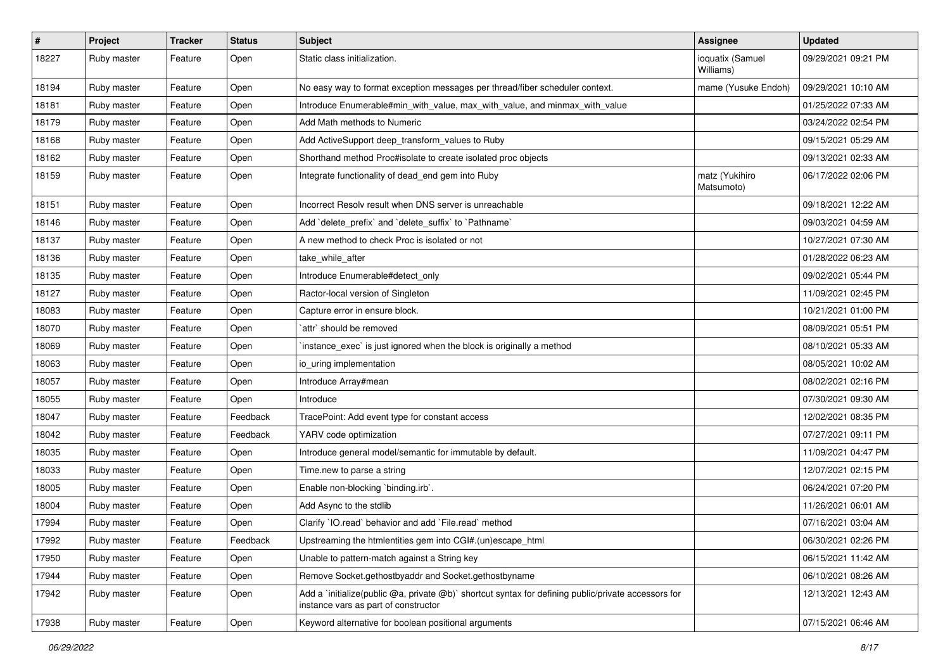| $\pmb{\#}$ | Project     | <b>Tracker</b> | <b>Status</b> | Subject                                                                                                                                     | <b>Assignee</b>               | <b>Updated</b>      |
|------------|-------------|----------------|---------------|---------------------------------------------------------------------------------------------------------------------------------------------|-------------------------------|---------------------|
| 18227      | Ruby master | Feature        | Open          | Static class initialization.                                                                                                                | ioquatix (Samuel<br>Williams) | 09/29/2021 09:21 PM |
| 18194      | Ruby master | Feature        | Open          | No easy way to format exception messages per thread/fiber scheduler context.                                                                | mame (Yusuke Endoh)           | 09/29/2021 10:10 AM |
| 18181      | Ruby master | Feature        | Open          | Introduce Enumerable#min_with_value, max_with_value, and minmax_with_value                                                                  |                               | 01/25/2022 07:33 AM |
| 18179      | Ruby master | Feature        | Open          | Add Math methods to Numeric                                                                                                                 |                               | 03/24/2022 02:54 PM |
| 18168      | Ruby master | Feature        | Open          | Add ActiveSupport deep_transform_values to Ruby                                                                                             |                               | 09/15/2021 05:29 AM |
| 18162      | Ruby master | Feature        | Open          | Shorthand method Proc#isolate to create isolated proc objects                                                                               |                               | 09/13/2021 02:33 AM |
| 18159      | Ruby master | Feature        | Open          | Integrate functionality of dead_end gem into Ruby                                                                                           | matz (Yukihiro<br>Matsumoto)  | 06/17/2022 02:06 PM |
| 18151      | Ruby master | Feature        | Open          | Incorrect Resolv result when DNS server is unreachable                                                                                      |                               | 09/18/2021 12:22 AM |
| 18146      | Ruby master | Feature        | Open          | Add `delete_prefix` and `delete_suffix` to `Pathname`                                                                                       |                               | 09/03/2021 04:59 AM |
| 18137      | Ruby master | Feature        | Open          | A new method to check Proc is isolated or not                                                                                               |                               | 10/27/2021 07:30 AM |
| 18136      | Ruby master | Feature        | Open          | take_while_after                                                                                                                            |                               | 01/28/2022 06:23 AM |
| 18135      | Ruby master | Feature        | Open          | Introduce Enumerable#detect_only                                                                                                            |                               | 09/02/2021 05:44 PM |
| 18127      | Ruby master | Feature        | Open          | Ractor-local version of Singleton                                                                                                           |                               | 11/09/2021 02:45 PM |
| 18083      | Ruby master | Feature        | Open          | Capture error in ensure block.                                                                                                              |                               | 10/21/2021 01:00 PM |
| 18070      | Ruby master | Feature        | Open          | `attr` should be removed                                                                                                                    |                               | 08/09/2021 05:51 PM |
| 18069      | Ruby master | Feature        | Open          | instance_exec` is just ignored when the block is originally a method                                                                        |                               | 08/10/2021 05:33 AM |
| 18063      | Ruby master | Feature        | Open          | io uring implementation                                                                                                                     |                               | 08/05/2021 10:02 AM |
| 18057      | Ruby master | Feature        | Open          | Introduce Array#mean                                                                                                                        |                               | 08/02/2021 02:16 PM |
| 18055      | Ruby master | Feature        | Open          | Introduce                                                                                                                                   |                               | 07/30/2021 09:30 AM |
| 18047      | Ruby master | Feature        | Feedback      | TracePoint: Add event type for constant access                                                                                              |                               | 12/02/2021 08:35 PM |
| 18042      | Ruby master | Feature        | Feedback      | YARV code optimization                                                                                                                      |                               | 07/27/2021 09:11 PM |
| 18035      | Ruby master | Feature        | Open          | Introduce general model/semantic for immutable by default.                                                                                  |                               | 11/09/2021 04:47 PM |
| 18033      | Ruby master | Feature        | Open          | Time.new to parse a string                                                                                                                  |                               | 12/07/2021 02:15 PM |
| 18005      | Ruby master | Feature        | Open          | Enable non-blocking `binding.irb`.                                                                                                          |                               | 06/24/2021 07:20 PM |
| 18004      | Ruby master | Feature        | Open          | Add Async to the stdlib                                                                                                                     |                               | 11/26/2021 06:01 AM |
| 17994      | Ruby master | Feature        | Open          | Clarify 'IO.read' behavior and add 'File.read' method                                                                                       |                               | 07/16/2021 03:04 AM |
| 17992      | Ruby master | Feature        | Feedback      | Upstreaming the htmlentities gem into CGI#.(un)escape html                                                                                  |                               | 06/30/2021 02:26 PM |
| 17950      | Ruby master | Feature        | Open          | Unable to pattern-match against a String key                                                                                                |                               | 06/15/2021 11:42 AM |
| 17944      | Ruby master | Feature        | Open          | Remove Socket.gethostbyaddr and Socket.gethostbyname                                                                                        |                               | 06/10/2021 08:26 AM |
| 17942      | Ruby master | Feature        | Open          | Add a `initialize(public @a, private @b)` shortcut syntax for defining public/private accessors for<br>instance vars as part of constructor |                               | 12/13/2021 12:43 AM |
| 17938      | Ruby master | Feature        | Open          | Keyword alternative for boolean positional arguments                                                                                        |                               | 07/15/2021 06:46 AM |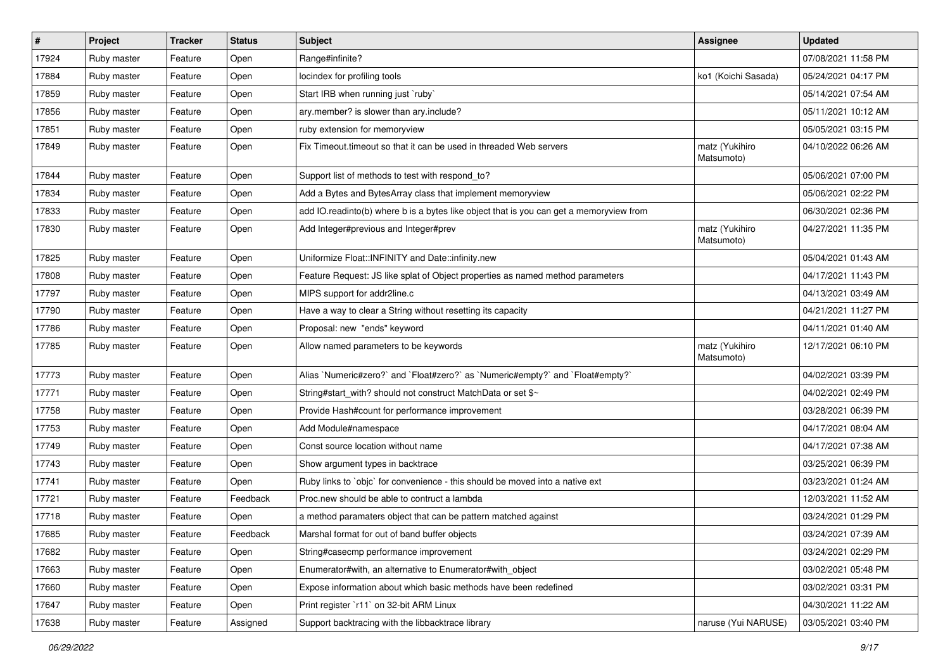| $\sharp$ | Project     | <b>Tracker</b> | <b>Status</b> | Subject                                                                                 | <b>Assignee</b>              | <b>Updated</b>      |
|----------|-------------|----------------|---------------|-----------------------------------------------------------------------------------------|------------------------------|---------------------|
| 17924    | Ruby master | Feature        | Open          | Range#infinite?                                                                         |                              | 07/08/2021 11:58 PM |
| 17884    | Ruby master | Feature        | Open          | locindex for profiling tools                                                            | ko1 (Koichi Sasada)          | 05/24/2021 04:17 PM |
| 17859    | Ruby master | Feature        | Open          | Start IRB when running just `ruby`                                                      |                              | 05/14/2021 07:54 AM |
| 17856    | Ruby master | Feature        | Open          | ary.member? is slower than ary.include?                                                 |                              | 05/11/2021 10:12 AM |
| 17851    | Ruby master | Feature        | Open          | ruby extension for memoryview                                                           |                              | 05/05/2021 03:15 PM |
| 17849    | Ruby master | Feature        | Open          | Fix Timeout timeout so that it can be used in threaded Web servers                      | matz (Yukihiro<br>Matsumoto) | 04/10/2022 06:26 AM |
| 17844    | Ruby master | Feature        | Open          | Support list of methods to test with respond to?                                        |                              | 05/06/2021 07:00 PM |
| 17834    | Ruby master | Feature        | Open          | Add a Bytes and BytesArray class that implement memoryview                              |                              | 05/06/2021 02:22 PM |
| 17833    | Ruby master | Feature        | Open          | add IO.readinto(b) where b is a bytes like object that is you can get a memoryview from |                              | 06/30/2021 02:36 PM |
| 17830    | Ruby master | Feature        | Open          | Add Integer#previous and Integer#prev                                                   | matz (Yukihiro<br>Matsumoto) | 04/27/2021 11:35 PM |
| 17825    | Ruby master | Feature        | Open          | Uniformize Float::INFINITY and Date::infinity.new                                       |                              | 05/04/2021 01:43 AM |
| 17808    | Ruby master | Feature        | Open          | Feature Request: JS like splat of Object properties as named method parameters          |                              | 04/17/2021 11:43 PM |
| 17797    | Ruby master | Feature        | Open          | MIPS support for addr2line.c                                                            |                              | 04/13/2021 03:49 AM |
| 17790    | Ruby master | Feature        | Open          | Have a way to clear a String without resetting its capacity                             |                              | 04/21/2021 11:27 PM |
| 17786    | Ruby master | Feature        | Open          | Proposal: new "ends" keyword                                                            |                              | 04/11/2021 01:40 AM |
| 17785    | Ruby master | Feature        | Open          | Allow named parameters to be keywords                                                   | matz (Yukihiro<br>Matsumoto) | 12/17/2021 06:10 PM |
| 17773    | Ruby master | Feature        | Open          | Alias `Numeric#zero?` and `Float#zero?` as `Numeric#empty?` and `Float#empty?`          |                              | 04/02/2021 03:39 PM |
| 17771    | Ruby master | Feature        | Open          | String#start_with? should not construct MatchData or set \$~                            |                              | 04/02/2021 02:49 PM |
| 17758    | Ruby master | Feature        | Open          | Provide Hash#count for performance improvement                                          |                              | 03/28/2021 06:39 PM |
| 17753    | Ruby master | Feature        | Open          | Add Module#namespace                                                                    |                              | 04/17/2021 08:04 AM |
| 17749    | Ruby master | Feature        | Open          | Const source location without name                                                      |                              | 04/17/2021 07:38 AM |
| 17743    | Ruby master | Feature        | Open          | Show argument types in backtrace                                                        |                              | 03/25/2021 06:39 PM |
| 17741    | Ruby master | Feature        | Open          | Ruby links to `objc` for convenience - this should be moved into a native ext           |                              | 03/23/2021 01:24 AM |
| 17721    | Ruby master | Feature        | Feedback      | Proc.new should be able to contruct a lambda                                            |                              | 12/03/2021 11:52 AM |
| 17718    | Ruby master | Feature        | Open          | a method paramaters object that can be pattern matched against                          |                              | 03/24/2021 01:29 PM |
| 17685    | Ruby master | Feature        | Feedback      | Marshal format for out of band buffer objects                                           |                              | 03/24/2021 07:39 AM |
| 17682    | Ruby master | Feature        | Open          | String#casecmp performance improvement                                                  |                              | 03/24/2021 02:29 PM |
| 17663    | Ruby master | Feature        | Open          | Enumerator#with, an alternative to Enumerator#with_object                               |                              | 03/02/2021 05:48 PM |
| 17660    | Ruby master | Feature        | Open          | Expose information about which basic methods have been redefined                        |                              | 03/02/2021 03:31 PM |
| 17647    | Ruby master | Feature        | Open          | Print register `r11` on 32-bit ARM Linux                                                |                              | 04/30/2021 11:22 AM |
| 17638    | Ruby master | Feature        | Assigned      | Support backtracing with the libbacktrace library                                       | naruse (Yui NARUSE)          | 03/05/2021 03:40 PM |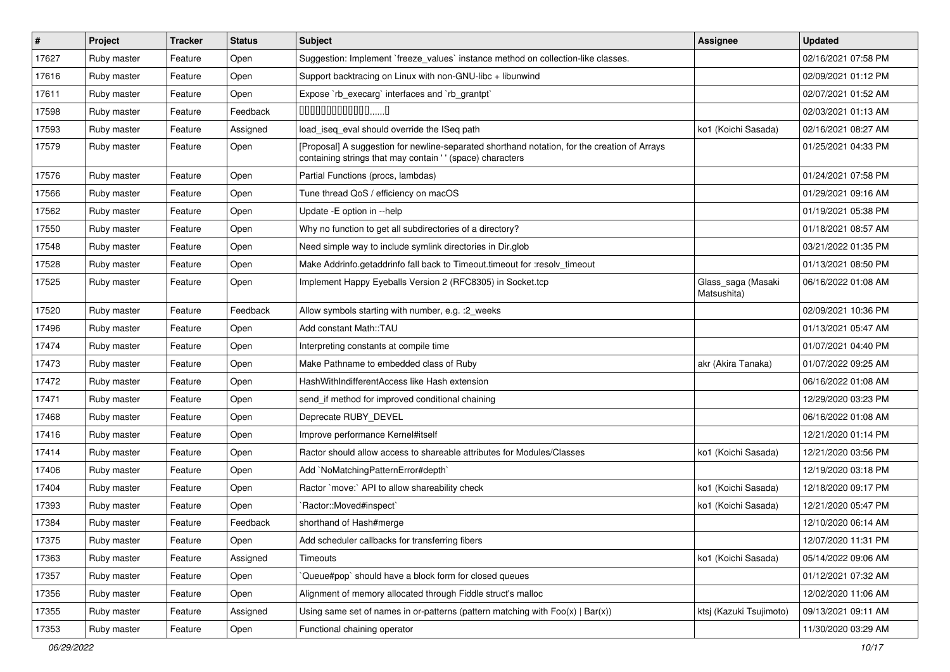| #     | Project     | <b>Tracker</b> | <b>Status</b> | <b>Subject</b>                                                                                                                                             | <b>Assignee</b>                   | <b>Updated</b>      |
|-------|-------------|----------------|---------------|------------------------------------------------------------------------------------------------------------------------------------------------------------|-----------------------------------|---------------------|
| 17627 | Ruby master | Feature        | Open          | Suggestion: Implement `freeze_values` instance method on collection-like classes.                                                                          |                                   | 02/16/2021 07:58 PM |
| 17616 | Ruby master | Feature        | Open          | Support backtracing on Linux with non-GNU-libc + libunwind                                                                                                 |                                   | 02/09/2021 01:12 PM |
| 17611 | Ruby master | Feature        | Open          | Expose `rb_execarg` interfaces and `rb_grantpt`                                                                                                            |                                   | 02/07/2021 01:52 AM |
| 17598 | Ruby master | Feature        | Feedback      | $000000000000010$                                                                                                                                          |                                   | 02/03/2021 01:13 AM |
| 17593 | Ruby master | Feature        | Assigned      | load_iseq_eval should override the ISeq path                                                                                                               | ko1 (Koichi Sasada)               | 02/16/2021 08:27 AM |
| 17579 | Ruby master | Feature        | Open          | [Proposal] A suggestion for newline-separated shorthand notation, for the creation of Arrays<br>containing strings that may contain ' ' (space) characters |                                   | 01/25/2021 04:33 PM |
| 17576 | Ruby master | Feature        | Open          | Partial Functions (procs, lambdas)                                                                                                                         |                                   | 01/24/2021 07:58 PM |
| 17566 | Ruby master | Feature        | Open          | Tune thread QoS / efficiency on macOS                                                                                                                      |                                   | 01/29/2021 09:16 AM |
| 17562 | Ruby master | Feature        | Open          | Update -E option in --help                                                                                                                                 |                                   | 01/19/2021 05:38 PM |
| 17550 | Ruby master | Feature        | Open          | Why no function to get all subdirectories of a directory?                                                                                                  |                                   | 01/18/2021 08:57 AM |
| 17548 | Ruby master | Feature        | Open          | Need simple way to include symlink directories in Dir.glob                                                                                                 |                                   | 03/21/2022 01:35 PM |
| 17528 | Ruby master | Feature        | Open          | Make Addrinfo.getaddrinfo fall back to Timeout.timeout for :resolv_timeout                                                                                 |                                   | 01/13/2021 08:50 PM |
| 17525 | Ruby master | Feature        | Open          | Implement Happy Eyeballs Version 2 (RFC8305) in Socket.tcp                                                                                                 | Glass_saga (Masaki<br>Matsushita) | 06/16/2022 01:08 AM |
| 17520 | Ruby master | Feature        | Feedback      | Allow symbols starting with number, e.g. : 2_weeks                                                                                                         |                                   | 02/09/2021 10:36 PM |
| 17496 | Ruby master | Feature        | Open          | Add constant Math::TAU                                                                                                                                     |                                   | 01/13/2021 05:47 AM |
| 17474 | Ruby master | Feature        | Open          | Interpreting constants at compile time                                                                                                                     |                                   | 01/07/2021 04:40 PM |
| 17473 | Ruby master | Feature        | Open          | Make Pathname to embedded class of Ruby                                                                                                                    | akr (Akira Tanaka)                | 01/07/2022 09:25 AM |
| 17472 | Ruby master | Feature        | Open          | HashWithIndifferentAccess like Hash extension                                                                                                              |                                   | 06/16/2022 01:08 AM |
| 17471 | Ruby master | Feature        | Open          | send if method for improved conditional chaining                                                                                                           |                                   | 12/29/2020 03:23 PM |
| 17468 | Ruby master | Feature        | Open          | Deprecate RUBY_DEVEL                                                                                                                                       |                                   | 06/16/2022 01:08 AM |
| 17416 | Ruby master | Feature        | Open          | Improve performance Kernel#itself                                                                                                                          |                                   | 12/21/2020 01:14 PM |
| 17414 | Ruby master | Feature        | Open          | Ractor should allow access to shareable attributes for Modules/Classes                                                                                     | ko1 (Koichi Sasada)               | 12/21/2020 03:56 PM |
| 17406 | Ruby master | Feature        | Open          | Add `NoMatchingPatternError#depth`                                                                                                                         |                                   | 12/19/2020 03:18 PM |
| 17404 | Ruby master | Feature        | Open          | Ractor `move:` API to allow shareability check                                                                                                             | ko1 (Koichi Sasada)               | 12/18/2020 09:17 PM |
| 17393 | Ruby master | Feature        | Open          | `Ractor::Moved#inspect`                                                                                                                                    | ko1 (Koichi Sasada)               | 12/21/2020 05:47 PM |
| 17384 | Ruby master | Feature        | Feedback      | shorthand of Hash#merge                                                                                                                                    |                                   | 12/10/2020 06:14 AM |
| 17375 | Ruby master | Feature        | Open          | Add scheduler callbacks for transferring fibers                                                                                                            |                                   | 12/07/2020 11:31 PM |
| 17363 | Ruby master | Feature        | Assigned      | Timeouts                                                                                                                                                   | ko1 (Koichi Sasada)               | 05/14/2022 09:06 AM |
| 17357 | Ruby master | Feature        | Open          | Queue#pop` should have a block form for closed queues                                                                                                      |                                   | 01/12/2021 07:32 AM |
| 17356 | Ruby master | Feature        | Open          | Alignment of memory allocated through Fiddle struct's malloc                                                                                               |                                   | 12/02/2020 11:06 AM |
| 17355 | Ruby master | Feature        | Assigned      | Using same set of names in or-patterns (pattern matching with $Foo(x)   Bar(x)$ )                                                                          | ktsj (Kazuki Tsujimoto)           | 09/13/2021 09:11 AM |
| 17353 | Ruby master | Feature        | Open          | Functional chaining operator                                                                                                                               |                                   | 11/30/2020 03:29 AM |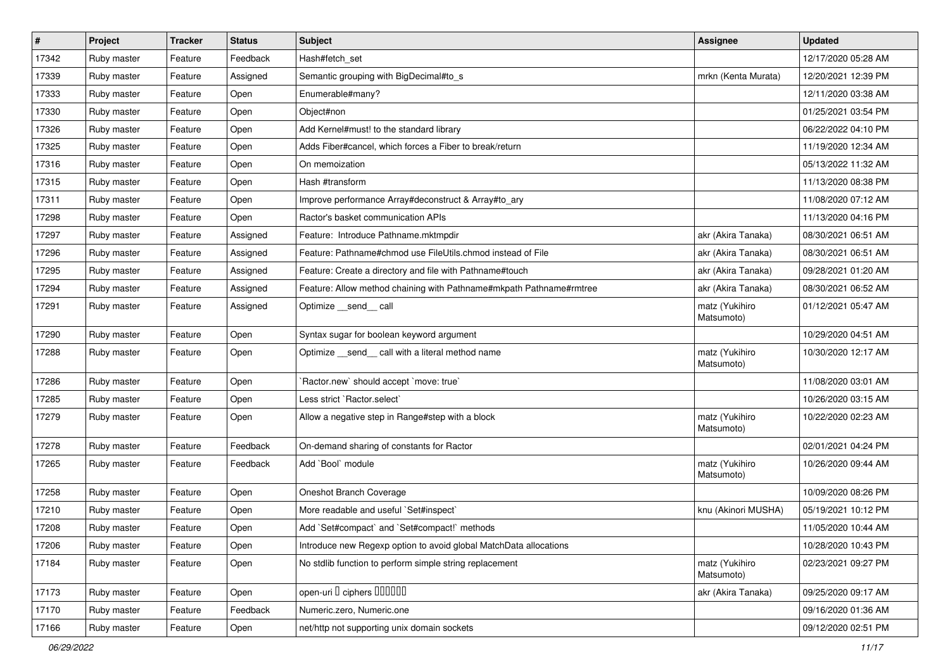| #     | Project     | <b>Tracker</b> | <b>Status</b> | Subject                                                             | <b>Assignee</b>              | <b>Updated</b>      |
|-------|-------------|----------------|---------------|---------------------------------------------------------------------|------------------------------|---------------------|
| 17342 | Ruby master | Feature        | Feedback      | Hash#fetch_set                                                      |                              | 12/17/2020 05:28 AM |
| 17339 | Ruby master | Feature        | Assigned      | Semantic grouping with BigDecimal#to_s                              | mrkn (Kenta Murata)          | 12/20/2021 12:39 PM |
| 17333 | Ruby master | Feature        | Open          | Enumerable#many?                                                    |                              | 12/11/2020 03:38 AM |
| 17330 | Ruby master | Feature        | Open          | Object#non                                                          |                              | 01/25/2021 03:54 PM |
| 17326 | Ruby master | Feature        | Open          | Add Kernel#must! to the standard library                            |                              | 06/22/2022 04:10 PM |
| 17325 | Ruby master | Feature        | Open          | Adds Fiber#cancel, which forces a Fiber to break/return             |                              | 11/19/2020 12:34 AM |
| 17316 | Ruby master | Feature        | Open          | On memoization                                                      |                              | 05/13/2022 11:32 AM |
| 17315 | Ruby master | Feature        | Open          | Hash #transform                                                     |                              | 11/13/2020 08:38 PM |
| 17311 | Ruby master | Feature        | Open          | Improve performance Array#deconstruct & Array#to_ary                |                              | 11/08/2020 07:12 AM |
| 17298 | Ruby master | Feature        | Open          | Ractor's basket communication APIs                                  |                              | 11/13/2020 04:16 PM |
| 17297 | Ruby master | Feature        | Assigned      | Feature: Introduce Pathname.mktmpdir                                | akr (Akira Tanaka)           | 08/30/2021 06:51 AM |
| 17296 | Ruby master | Feature        | Assigned      | Feature: Pathname#chmod use FileUtils.chmod instead of File         | akr (Akira Tanaka)           | 08/30/2021 06:51 AM |
| 17295 | Ruby master | Feature        | Assigned      | Feature: Create a directory and file with Pathname#touch            | akr (Akira Tanaka)           | 09/28/2021 01:20 AM |
| 17294 | Ruby master | Feature        | Assigned      | Feature: Allow method chaining with Pathname#mkpath Pathname#rmtree | akr (Akira Tanaka)           | 08/30/2021 06:52 AM |
| 17291 | Ruby master | Feature        | Assigned      | Optimize __send__ call                                              | matz (Yukihiro<br>Matsumoto) | 01/12/2021 05:47 AM |
| 17290 | Ruby master | Feature        | Open          | Syntax sugar for boolean keyword argument                           |                              | 10/29/2020 04:51 AM |
| 17288 | Ruby master | Feature        | Open          | Optimize _send_ call with a literal method name                     | matz (Yukihiro<br>Matsumoto) | 10/30/2020 12:17 AM |
| 17286 | Ruby master | Feature        | Open          | 'Ractor.new' should accept 'move: true'                             |                              | 11/08/2020 03:01 AM |
| 17285 | Ruby master | Feature        | Open          | Less strict `Ractor.select`                                         |                              | 10/26/2020 03:15 AM |
| 17279 | Ruby master | Feature        | Open          | Allow a negative step in Range#step with a block                    | matz (Yukihiro<br>Matsumoto) | 10/22/2020 02:23 AM |
| 17278 | Ruby master | Feature        | Feedback      | On-demand sharing of constants for Ractor                           |                              | 02/01/2021 04:24 PM |
| 17265 | Ruby master | Feature        | Feedback      | Add `Bool` module                                                   | matz (Yukihiro<br>Matsumoto) | 10/26/2020 09:44 AM |
| 17258 | Ruby master | Feature        | Open          | Oneshot Branch Coverage                                             |                              | 10/09/2020 08:26 PM |
| 17210 | Ruby master | Feature        | Open          | More readable and useful `Set#inspect`                              | knu (Akinori MUSHA)          | 05/19/2021 10:12 PM |
| 17208 | Ruby master | Feature        | Open          | Add `Set#compact` and `Set#compact!` methods                        |                              | 11/05/2020 10:44 AM |
| 17206 | Ruby master | Feature        | Open          | Introduce new Regexp option to avoid global MatchData allocations   |                              | 10/28/2020 10:43 PM |
| 17184 | Ruby master | Feature        | Open          | No stdlib function to perform simple string replacement             | matz (Yukihiro<br>Matsumoto) | 02/23/2021 09:27 PM |
| 17173 | Ruby master | Feature        | Open          | open-uri <sup>[]</sup> ciphers [10000]                              | akr (Akira Tanaka)           | 09/25/2020 09:17 AM |
| 17170 | Ruby master | Feature        | Feedback      | Numeric.zero, Numeric.one                                           |                              | 09/16/2020 01:36 AM |
| 17166 | Ruby master | Feature        | Open          | net/http not supporting unix domain sockets                         |                              | 09/12/2020 02:51 PM |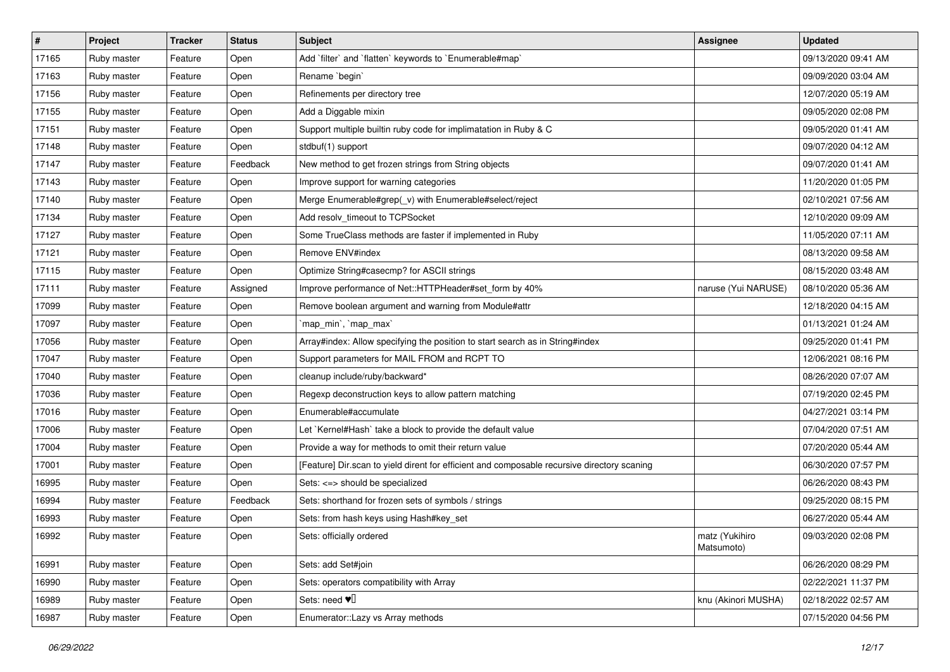| $\sharp$ | Project     | <b>Tracker</b> | <b>Status</b> | Subject                                                                                     | Assignee                     | <b>Updated</b>      |
|----------|-------------|----------------|---------------|---------------------------------------------------------------------------------------------|------------------------------|---------------------|
| 17165    | Ruby master | Feature        | Open          | Add `filter` and `flatten` keywords to `Enumerable#map`                                     |                              | 09/13/2020 09:41 AM |
| 17163    | Ruby master | Feature        | Open          | Rename `begin`                                                                              |                              | 09/09/2020 03:04 AM |
| 17156    | Ruby master | Feature        | Open          | Refinements per directory tree                                                              |                              | 12/07/2020 05:19 AM |
| 17155    | Ruby master | Feature        | Open          | Add a Diggable mixin                                                                        |                              | 09/05/2020 02:08 PM |
| 17151    | Ruby master | Feature        | Open          | Support multiple builtin ruby code for implimatation in Ruby & C                            |                              | 09/05/2020 01:41 AM |
| 17148    | Ruby master | Feature        | Open          | stdbuf(1) support                                                                           |                              | 09/07/2020 04:12 AM |
| 17147    | Ruby master | Feature        | Feedback      | New method to get frozen strings from String objects                                        |                              | 09/07/2020 01:41 AM |
| 17143    | Ruby master | Feature        | Open          | Improve support for warning categories                                                      |                              | 11/20/2020 01:05 PM |
| 17140    | Ruby master | Feature        | Open          | Merge Enumerable#grep(_v) with Enumerable#select/reject                                     |                              | 02/10/2021 07:56 AM |
| 17134    | Ruby master | Feature        | Open          | Add resolv_timeout to TCPSocket                                                             |                              | 12/10/2020 09:09 AM |
| 17127    | Ruby master | Feature        | Open          | Some TrueClass methods are faster if implemented in Ruby                                    |                              | 11/05/2020 07:11 AM |
| 17121    | Ruby master | Feature        | Open          | Remove ENV#index                                                                            |                              | 08/13/2020 09:58 AM |
| 17115    | Ruby master | Feature        | Open          | Optimize String#casecmp? for ASCII strings                                                  |                              | 08/15/2020 03:48 AM |
| 17111    | Ruby master | Feature        | Assigned      | Improve performance of Net::HTTPHeader#set_form by 40%                                      | naruse (Yui NARUSE)          | 08/10/2020 05:36 AM |
| 17099    | Ruby master | Feature        | Open          | Remove boolean argument and warning from Module#attr                                        |                              | 12/18/2020 04:15 AM |
| 17097    | Ruby master | Feature        | Open          | 'map_min', 'map_max'                                                                        |                              | 01/13/2021 01:24 AM |
| 17056    | Ruby master | Feature        | Open          | Array#index: Allow specifying the position to start search as in String#index               |                              | 09/25/2020 01:41 PM |
| 17047    | Ruby master | Feature        | Open          | Support parameters for MAIL FROM and RCPT TO                                                |                              | 12/06/2021 08:16 PM |
| 17040    | Ruby master | Feature        | Open          | cleanup include/ruby/backward*                                                              |                              | 08/26/2020 07:07 AM |
| 17036    | Ruby master | Feature        | Open          | Regexp deconstruction keys to allow pattern matching                                        |                              | 07/19/2020 02:45 PM |
| 17016    | Ruby master | Feature        | Open          | Enumerable#accumulate                                                                       |                              | 04/27/2021 03:14 PM |
| 17006    | Ruby master | Feature        | Open          | Let `Kernel#Hash` take a block to provide the default value                                 |                              | 07/04/2020 07:51 AM |
| 17004    | Ruby master | Feature        | Open          | Provide a way for methods to omit their return value                                        |                              | 07/20/2020 05:44 AM |
| 17001    | Ruby master | Feature        | Open          | [Feature] Dir.scan to yield dirent for efficient and composable recursive directory scaning |                              | 06/30/2020 07:57 PM |
| 16995    | Ruby master | Feature        | Open          | Sets: <=> should be specialized                                                             |                              | 06/26/2020 08:43 PM |
| 16994    | Ruby master | Feature        | Feedback      | Sets: shorthand for frozen sets of symbols / strings                                        |                              | 09/25/2020 08:15 PM |
| 16993    | Ruby master | Feature        | Open          | Sets: from hash keys using Hash#key_set                                                     |                              | 06/27/2020 05:44 AM |
| 16992    | Ruby master | Feature        | Open          | Sets: officially ordered                                                                    | matz (Yukihiro<br>Matsumoto) | 09/03/2020 02:08 PM |
| 16991    | Ruby master | Feature        | Open          | Sets: add Set#join                                                                          |                              | 06/26/2020 08:29 PM |
| 16990    | Ruby master | Feature        | Open          | Sets: operators compatibility with Array                                                    |                              | 02/22/2021 11:37 PM |
| 16989    | Ruby master | Feature        | Open          | Sets: need $\Psi$ <sup>[]</sup>                                                             | knu (Akinori MUSHA)          | 02/18/2022 02:57 AM |
| 16987    | Ruby master | Feature        | Open          | Enumerator::Lazy vs Array methods                                                           |                              | 07/15/2020 04:56 PM |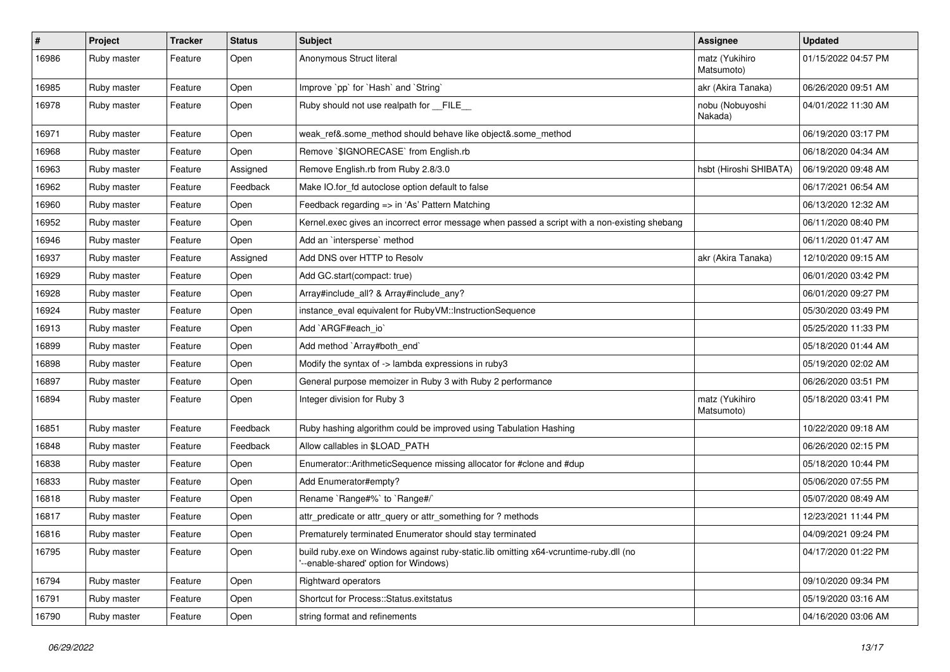| $\pmb{\#}$ | Project     | <b>Tracker</b> | <b>Status</b> | Subject                                                                                                                        | Assignee                     | <b>Updated</b>      |
|------------|-------------|----------------|---------------|--------------------------------------------------------------------------------------------------------------------------------|------------------------------|---------------------|
| 16986      | Ruby master | Feature        | Open          | Anonymous Struct literal                                                                                                       | matz (Yukihiro<br>Matsumoto) | 01/15/2022 04:57 PM |
| 16985      | Ruby master | Feature        | Open          | Improve `pp` for `Hash` and `String`                                                                                           | akr (Akira Tanaka)           | 06/26/2020 09:51 AM |
| 16978      | Ruby master | Feature        | Open          | Ruby should not use realpath for __FILE__                                                                                      | nobu (Nobuyoshi<br>Nakada)   | 04/01/2022 11:30 AM |
| 16971      | Ruby master | Feature        | Open          | weak_ref&.some_method should behave like object&.some_method                                                                   |                              | 06/19/2020 03:17 PM |
| 16968      | Ruby master | Feature        | Open          | Remove `\$IGNORECASE` from English.rb                                                                                          |                              | 06/18/2020 04:34 AM |
| 16963      | Ruby master | Feature        | Assigned      | Remove English.rb from Ruby 2.8/3.0                                                                                            | hsbt (Hiroshi SHIBATA)       | 06/19/2020 09:48 AM |
| 16962      | Ruby master | Feature        | Feedback      | Make IO.for_fd autoclose option default to false                                                                               |                              | 06/17/2021 06:54 AM |
| 16960      | Ruby master | Feature        | Open          | Feedback regarding => in 'As' Pattern Matching                                                                                 |                              | 06/13/2020 12:32 AM |
| 16952      | Ruby master | Feature        | Open          | Kernel.exec gives an incorrect error message when passed a script with a non-existing shebang                                  |                              | 06/11/2020 08:40 PM |
| 16946      | Ruby master | Feature        | Open          | Add an `intersperse` method                                                                                                    |                              | 06/11/2020 01:47 AM |
| 16937      | Ruby master | Feature        | Assigned      | Add DNS over HTTP to Resolv                                                                                                    | akr (Akira Tanaka)           | 12/10/2020 09:15 AM |
| 16929      | Ruby master | Feature        | Open          | Add GC.start(compact: true)                                                                                                    |                              | 06/01/2020 03:42 PM |
| 16928      | Ruby master | Feature        | Open          | Array#include_all? & Array#include_any?                                                                                        |                              | 06/01/2020 09:27 PM |
| 16924      | Ruby master | Feature        | Open          | instance_eval equivalent for RubyVM::InstructionSequence                                                                       |                              | 05/30/2020 03:49 PM |
| 16913      | Ruby master | Feature        | Open          | Add `ARGF#each_io`                                                                                                             |                              | 05/25/2020 11:33 PM |
| 16899      | Ruby master | Feature        | Open          | Add method `Array#both end`                                                                                                    |                              | 05/18/2020 01:44 AM |
| 16898      | Ruby master | Feature        | Open          | Modify the syntax of -> lambda expressions in ruby3                                                                            |                              | 05/19/2020 02:02 AM |
| 16897      | Ruby master | Feature        | Open          | General purpose memoizer in Ruby 3 with Ruby 2 performance                                                                     |                              | 06/26/2020 03:51 PM |
| 16894      | Ruby master | Feature        | Open          | Integer division for Ruby 3                                                                                                    | matz (Yukihiro<br>Matsumoto) | 05/18/2020 03:41 PM |
| 16851      | Ruby master | Feature        | Feedback      | Ruby hashing algorithm could be improved using Tabulation Hashing                                                              |                              | 10/22/2020 09:18 AM |
| 16848      | Ruby master | Feature        | Feedback      | Allow callables in \$LOAD_PATH                                                                                                 |                              | 06/26/2020 02:15 PM |
| 16838      | Ruby master | Feature        | Open          | Enumerator::ArithmeticSequence missing allocator for #clone and #dup                                                           |                              | 05/18/2020 10:44 PM |
| 16833      | Ruby master | Feature        | Open          | Add Enumerator#empty?                                                                                                          |                              | 05/06/2020 07:55 PM |
| 16818      | Ruby master | Feature        | Open          | Rename `Range#%` to `Range#/`                                                                                                  |                              | 05/07/2020 08:49 AM |
| 16817      | Ruby master | Feature        | Open          | attr_predicate or attr_query or attr_something for ? methods                                                                   |                              | 12/23/2021 11:44 PM |
| 16816      | Ruby master | Feature        | Open          | Prematurely terminated Enumerator should stay terminated                                                                       |                              | 04/09/2021 09:24 PM |
| 16795      | Ruby master | Feature        | Open          | build ruby.exe on Windows against ruby-static.lib omitting x64-vcruntime-ruby.dll (no<br>'--enable-shared' option for Windows) |                              | 04/17/2020 01:22 PM |
| 16794      | Ruby master | Feature        | Open          | Rightward operators                                                                                                            |                              | 09/10/2020 09:34 PM |
| 16791      | Ruby master | Feature        | Open          | Shortcut for Process::Status.exitstatus                                                                                        |                              | 05/19/2020 03:16 AM |
| 16790      | Ruby master | Feature        | Open          | string format and refinements                                                                                                  |                              | 04/16/2020 03:06 AM |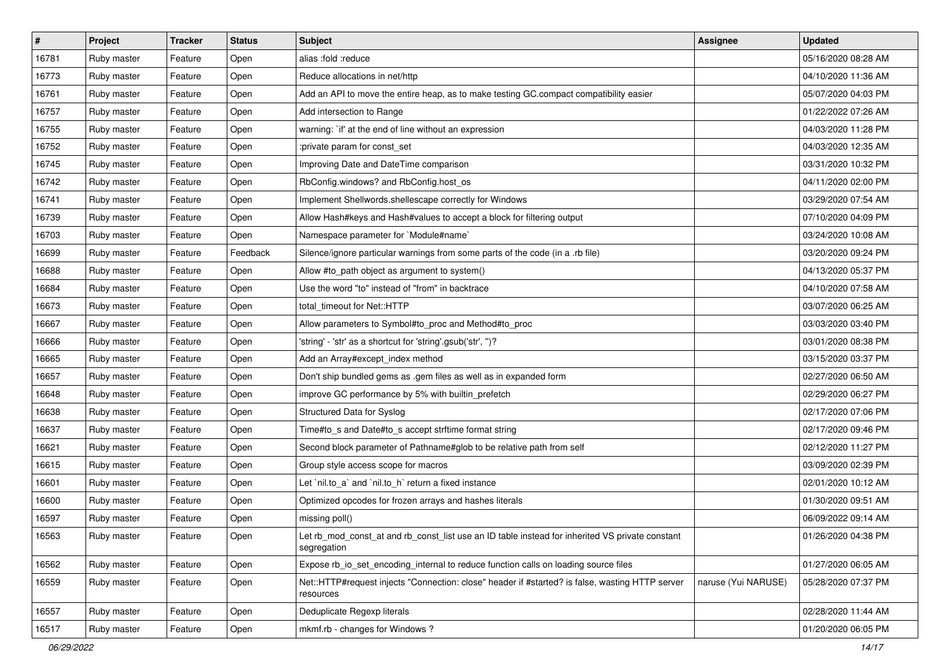| $\sharp$ | <b>Project</b> | <b>Tracker</b> | <b>Status</b> | Subject                                                                                                       | <b>Assignee</b>     | <b>Updated</b>      |
|----------|----------------|----------------|---------------|---------------------------------------------------------------------------------------------------------------|---------------------|---------------------|
| 16781    | Ruby master    | Feature        | Open          | alias :fold :reduce                                                                                           |                     | 05/16/2020 08:28 AM |
| 16773    | Ruby master    | Feature        | Open          | Reduce allocations in net/http                                                                                |                     | 04/10/2020 11:36 AM |
| 16761    | Ruby master    | Feature        | Open          | Add an API to move the entire heap, as to make testing GC.compact compatibility easier                        |                     | 05/07/2020 04:03 PM |
| 16757    | Ruby master    | Feature        | Open          | Add intersection to Range                                                                                     |                     | 01/22/2022 07:26 AM |
| 16755    | Ruby master    | Feature        | Open          | warning: `if' at the end of line without an expression                                                        |                     | 04/03/2020 11:28 PM |
| 16752    | Ruby master    | Feature        | Open          | :private param for const_set                                                                                  |                     | 04/03/2020 12:35 AM |
| 16745    | Ruby master    | Feature        | Open          | Improving Date and DateTime comparison                                                                        |                     | 03/31/2020 10:32 PM |
| 16742    | Ruby master    | Feature        | Open          | RbConfig.windows? and RbConfig.host_os                                                                        |                     | 04/11/2020 02:00 PM |
| 16741    | Ruby master    | Feature        | Open          | Implement Shellwords.shellescape correctly for Windows                                                        |                     | 03/29/2020 07:54 AM |
| 16739    | Ruby master    | Feature        | Open          | Allow Hash#keys and Hash#values to accept a block for filtering output                                        |                     | 07/10/2020 04:09 PM |
| 16703    | Ruby master    | Feature        | Open          | Namespace parameter for `Module#name`                                                                         |                     | 03/24/2020 10:08 AM |
| 16699    | Ruby master    | Feature        | Feedback      | Silence/ignore particular warnings from some parts of the code (in a .rb file)                                |                     | 03/20/2020 09:24 PM |
| 16688    | Ruby master    | Feature        | Open          | Allow #to_path object as argument to system()                                                                 |                     | 04/13/2020 05:37 PM |
| 16684    | Ruby master    | Feature        | Open          | Use the word "to" instead of "from" in backtrace                                                              |                     | 04/10/2020 07:58 AM |
| 16673    | Ruby master    | Feature        | Open          | total timeout for Net::HTTP                                                                                   |                     | 03/07/2020 06:25 AM |
| 16667    | Ruby master    | Feature        | Open          | Allow parameters to Symbol#to_proc and Method#to_proc                                                         |                     | 03/03/2020 03:40 PM |
| 16666    | Ruby master    | Feature        | Open          | 'string' - 'str' as a shortcut for 'string'.gsub('str', ")?                                                   |                     | 03/01/2020 08:38 PM |
| 16665    | Ruby master    | Feature        | Open          | Add an Array#except_index method                                                                              |                     | 03/15/2020 03:37 PM |
| 16657    | Ruby master    | Feature        | Open          | Don't ship bundled gems as .gem files as well as in expanded form                                             |                     | 02/27/2020 06:50 AM |
| 16648    | Ruby master    | Feature        | Open          | improve GC performance by 5% with builtin_prefetch                                                            |                     | 02/29/2020 06:27 PM |
| 16638    | Ruby master    | Feature        | Open          | Structured Data for Syslog                                                                                    |                     | 02/17/2020 07:06 PM |
| 16637    | Ruby master    | Feature        | Open          | Time#to_s and Date#to_s accept strftime format string                                                         |                     | 02/17/2020 09:46 PM |
| 16621    | Ruby master    | Feature        | Open          | Second block parameter of Pathname#glob to be relative path from self                                         |                     | 02/12/2020 11:27 PM |
| 16615    | Ruby master    | Feature        | Open          | Group style access scope for macros                                                                           |                     | 03/09/2020 02:39 PM |
| 16601    | Ruby master    | Feature        | Open          | Let `nil.to_a` and `nil.to_h` return a fixed instance                                                         |                     | 02/01/2020 10:12 AM |
| 16600    | Ruby master    | Feature        | Open          | Optimized opcodes for frozen arrays and hashes literals                                                       |                     | 01/30/2020 09:51 AM |
| 16597    | Ruby master    | Feature        | Open          | missing poll()                                                                                                |                     | 06/09/2022 09:14 AM |
| 16563    | Ruby master    | Feature        | Open          | et rb_mod_const_at and rb_const_list use an ID table instead for inherited VS private constant<br>segregation |                     | 01/26/2020 04:38 PM |
| 16562    | Ruby master    | Feature        | Open          | Expose rb_io_set_encoding_internal to reduce function calls on loading source files                           |                     | 01/27/2020 06:05 AM |
| 16559    | Ruby master    | Feature        | Open          | Net::HTTP#request injects "Connection: close" header if #started? is false, wasting HTTP server<br>resources  | naruse (Yui NARUSE) | 05/28/2020 07:37 PM |
| 16557    | Ruby master    | Feature        | Open          | Deduplicate Regexp literals                                                                                   |                     | 02/28/2020 11:44 AM |
| 16517    | Ruby master    | Feature        | Open          | mkmf.rb - changes for Windows?                                                                                |                     | 01/20/2020 06:05 PM |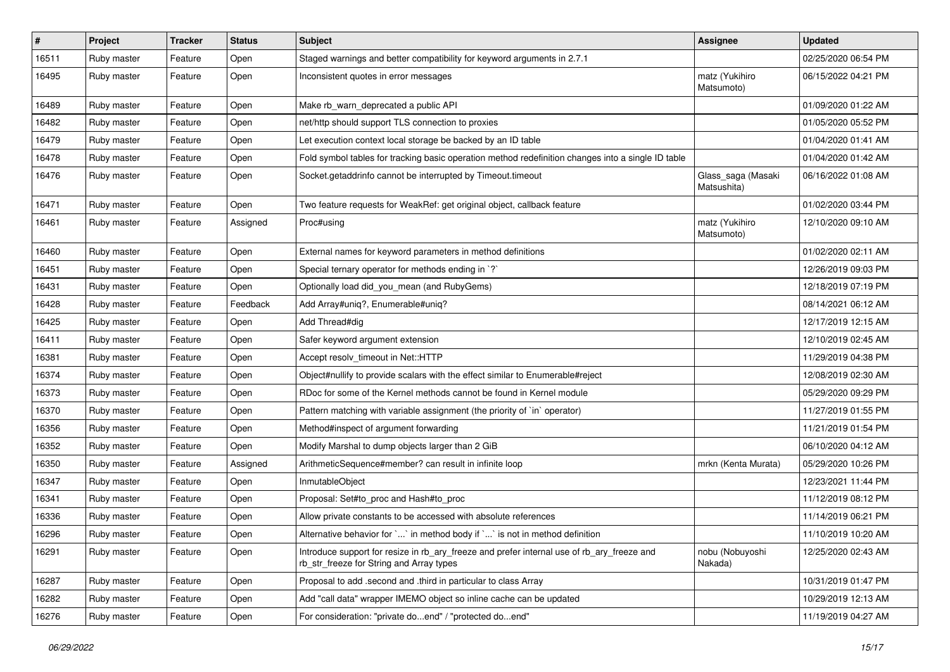| $\sharp$ | <b>Project</b> | <b>Tracker</b> | <b>Status</b> | Subject                                                                                                                                | <b>Assignee</b>                   | <b>Updated</b>      |
|----------|----------------|----------------|---------------|----------------------------------------------------------------------------------------------------------------------------------------|-----------------------------------|---------------------|
| 16511    | Ruby master    | Feature        | Open          | Staged warnings and better compatibility for keyword arguments in 2.7.1                                                                |                                   | 02/25/2020 06:54 PM |
| 16495    | Ruby master    | Feature        | Open          | Inconsistent quotes in error messages                                                                                                  | matz (Yukihiro<br>Matsumoto)      | 06/15/2022 04:21 PM |
| 16489    | Ruby master    | Feature        | Open          | Make rb_warn_deprecated a public API                                                                                                   |                                   | 01/09/2020 01:22 AM |
| 16482    | Ruby master    | Feature        | Open          | net/http should support TLS connection to proxies                                                                                      |                                   | 01/05/2020 05:52 PM |
| 16479    | Ruby master    | Feature        | Open          | Let execution context local storage be backed by an ID table                                                                           |                                   | 01/04/2020 01:41 AM |
| 16478    | Ruby master    | Feature        | Open          | Fold symbol tables for tracking basic operation method redefinition changes into a single ID table                                     |                                   | 01/04/2020 01:42 AM |
| 16476    | Ruby master    | Feature        | Open          | Socket.getaddrinfo cannot be interrupted by Timeout.timeout                                                                            | Glass_saga (Masaki<br>Matsushita) | 06/16/2022 01:08 AM |
| 16471    | Ruby master    | Feature        | Open          | Two feature requests for WeakRef: get original object, callback feature                                                                |                                   | 01/02/2020 03:44 PM |
| 16461    | Ruby master    | Feature        | Assigned      | Proc#using                                                                                                                             | matz (Yukihiro<br>Matsumoto)      | 12/10/2020 09:10 AM |
| 16460    | Ruby master    | Feature        | Open          | External names for keyword parameters in method definitions                                                                            |                                   | 01/02/2020 02:11 AM |
| 16451    | Ruby master    | Feature        | Open          | Special ternary operator for methods ending in `?`                                                                                     |                                   | 12/26/2019 09:03 PM |
| 16431    | Ruby master    | Feature        | Open          | Optionally load did_you_mean (and RubyGems)                                                                                            |                                   | 12/18/2019 07:19 PM |
| 16428    | Ruby master    | Feature        | Feedback      | Add Array#uniq?, Enumerable#uniq?                                                                                                      |                                   | 08/14/2021 06:12 AM |
| 16425    | Ruby master    | Feature        | Open          | Add Thread#dig                                                                                                                         |                                   | 12/17/2019 12:15 AM |
| 16411    | Ruby master    | Feature        | Open          | Safer keyword argument extension                                                                                                       |                                   | 12/10/2019 02:45 AM |
| 16381    | Ruby master    | Feature        | Open          | Accept resolv timeout in Net::HTTP                                                                                                     |                                   | 11/29/2019 04:38 PM |
| 16374    | Ruby master    | Feature        | Open          | Object#nullify to provide scalars with the effect similar to Enumerable#reject                                                         |                                   | 12/08/2019 02:30 AM |
| 16373    | Ruby master    | Feature        | Open          | RDoc for some of the Kernel methods cannot be found in Kernel module                                                                   |                                   | 05/29/2020 09:29 PM |
| 16370    | Ruby master    | Feature        | Open          | Pattern matching with variable assignment (the priority of `in` operator)                                                              |                                   | 11/27/2019 01:55 PM |
| 16356    | Ruby master    | Feature        | Open          | Method#inspect of argument forwarding                                                                                                  |                                   | 11/21/2019 01:54 PM |
| 16352    | Ruby master    | Feature        | Open          | Modify Marshal to dump objects larger than 2 GiB                                                                                       |                                   | 06/10/2020 04:12 AM |
| 16350    | Ruby master    | Feature        | Assigned      | ArithmeticSequence#member? can result in infinite loop                                                                                 | mrkn (Kenta Murata)               | 05/29/2020 10:26 PM |
| 16347    | Ruby master    | Feature        | Open          | InmutableObject                                                                                                                        |                                   | 12/23/2021 11:44 PM |
| 16341    | Ruby master    | Feature        | Open          | Proposal: Set#to_proc and Hash#to_proc                                                                                                 |                                   | 11/12/2019 08:12 PM |
| 16336    | Ruby master    | Feature        | Open          | Allow private constants to be accessed with absolute references                                                                        |                                   | 11/14/2019 06:21 PM |
| 16296    | Ruby master    | Feature        | Open          | Alternative behavior for $\ldots$ in method body if $\ldots$ is not in method definition                                               |                                   | 11/10/2019 10:20 AM |
| 16291    | Ruby master    | Feature        | Open          | Introduce support for resize in rb_ary_freeze and prefer internal use of rb_ary_freeze and<br>rb str freeze for String and Array types | nobu (Nobuyoshi<br>Nakada)        | 12/25/2020 02:43 AM |
| 16287    | Ruby master    | Feature        | Open          | Proposal to add .second and .third in particular to class Array                                                                        |                                   | 10/31/2019 01:47 PM |
| 16282    | Ruby master    | Feature        | Open          | Add "call data" wrapper IMEMO object so inline cache can be updated                                                                    |                                   | 10/29/2019 12:13 AM |
| 16276    | Ruby master    | Feature        | Open          | For consideration: "private doend" / "protected doend"                                                                                 |                                   | 11/19/2019 04:27 AM |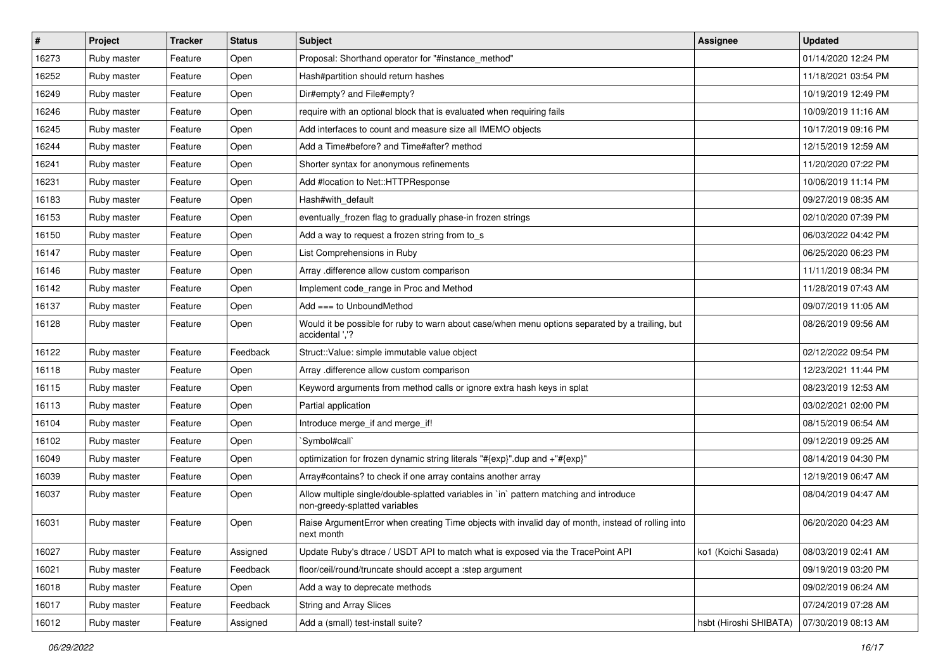| $\vert$ # | Project     | <b>Tracker</b> | <b>Status</b> | <b>Subject</b>                                                                                                          | <b>Assignee</b>        | <b>Updated</b>      |
|-----------|-------------|----------------|---------------|-------------------------------------------------------------------------------------------------------------------------|------------------------|---------------------|
| 16273     | Ruby master | Feature        | Open          | Proposal: Shorthand operator for "#instance_method"                                                                     |                        | 01/14/2020 12:24 PM |
| 16252     | Ruby master | Feature        | Open          | Hash#partition should return hashes                                                                                     |                        | 11/18/2021 03:54 PM |
| 16249     | Ruby master | Feature        | Open          | Dir#empty? and File#empty?                                                                                              |                        | 10/19/2019 12:49 PM |
| 16246     | Ruby master | Feature        | Open          | require with an optional block that is evaluated when requiring fails                                                   |                        | 10/09/2019 11:16 AM |
| 16245     | Ruby master | Feature        | Open          | Add interfaces to count and measure size all IMEMO objects                                                              |                        | 10/17/2019 09:16 PM |
| 16244     | Ruby master | Feature        | Open          | Add a Time#before? and Time#after? method                                                                               |                        | 12/15/2019 12:59 AM |
| 16241     | Ruby master | Feature        | Open          | Shorter syntax for anonymous refinements                                                                                |                        | 11/20/2020 07:22 PM |
| 16231     | Ruby master | Feature        | Open          | Add #location to Net::HTTPResponse                                                                                      |                        | 10/06/2019 11:14 PM |
| 16183     | Ruby master | Feature        | Open          | Hash#with_default                                                                                                       |                        | 09/27/2019 08:35 AM |
| 16153     | Ruby master | Feature        | Open          | eventually_frozen flag to gradually phase-in frozen strings                                                             |                        | 02/10/2020 07:39 PM |
| 16150     | Ruby master | Feature        | Open          | Add a way to request a frozen string from to s                                                                          |                        | 06/03/2022 04:42 PM |
| 16147     | Ruby master | Feature        | Open          | List Comprehensions in Ruby                                                                                             |                        | 06/25/2020 06:23 PM |
| 16146     | Ruby master | Feature        | Open          | Array .difference allow custom comparison                                                                               |                        | 11/11/2019 08:34 PM |
| 16142     | Ruby master | Feature        | Open          | Implement code_range in Proc and Method                                                                                 |                        | 11/28/2019 07:43 AM |
| 16137     | Ruby master | Feature        | Open          | Add === to UnboundMethod                                                                                                |                        | 09/07/2019 11:05 AM |
| 16128     | Ruby master | Feature        | Open          | Would it be possible for ruby to warn about case/when menu options separated by a trailing, but<br>accidental ','?      |                        | 08/26/2019 09:56 AM |
| 16122     | Ruby master | Feature        | Feedback      | Struct::Value: simple immutable value object                                                                            |                        | 02/12/2022 09:54 PM |
| 16118     | Ruby master | Feature        | Open          | Array .difference allow custom comparison                                                                               |                        | 12/23/2021 11:44 PM |
| 16115     | Ruby master | Feature        | Open          | Keyword arguments from method calls or ignore extra hash keys in splat                                                  |                        | 08/23/2019 12:53 AM |
| 16113     | Ruby master | Feature        | Open          | Partial application                                                                                                     |                        | 03/02/2021 02:00 PM |
| 16104     | Ruby master | Feature        | Open          | Introduce merge_if and merge_if!                                                                                        |                        | 08/15/2019 06:54 AM |
| 16102     | Ruby master | Feature        | Open          | `Symbol#call`                                                                                                           |                        | 09/12/2019 09:25 AM |
| 16049     | Ruby master | Feature        | Open          | optimization for frozen dynamic string literals "#{exp}" dup and +"#{exp}"                                              |                        | 08/14/2019 04:30 PM |
| 16039     | Ruby master | Feature        | Open          | Array#contains? to check if one array contains another array                                                            |                        | 12/19/2019 06:47 AM |
| 16037     | Ruby master | Feature        | Open          | Allow multiple single/double-splatted variables in `in` pattern matching and introduce<br>non-greedy-splatted variables |                        | 08/04/2019 04:47 AM |
| 16031     | Ruby master | Feature        | Open          | Raise ArgumentError when creating Time objects with invalid day of month, instead of rolling into<br>next month         |                        | 06/20/2020 04:23 AM |
| 16027     | Ruby master | Feature        | Assigned      | Update Ruby's dtrace / USDT API to match what is exposed via the TracePoint API                                         | ko1 (Koichi Sasada)    | 08/03/2019 02:41 AM |
| 16021     | Ruby master | Feature        | Feedback      | floor/ceil/round/truncate should accept a :step argument                                                                |                        | 09/19/2019 03:20 PM |
| 16018     | Ruby master | Feature        | Open          | Add a way to deprecate methods                                                                                          |                        | 09/02/2019 06:24 AM |
| 16017     | Ruby master | Feature        | Feedback      | <b>String and Array Slices</b>                                                                                          |                        | 07/24/2019 07:28 AM |
| 16012     | Ruby master | Feature        | Assigned      | Add a (small) test-install suite?                                                                                       | hsbt (Hiroshi SHIBATA) | 07/30/2019 08:13 AM |